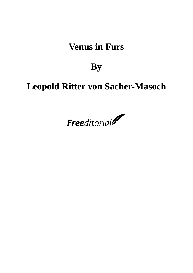## **Venus in Furs**

### **By**

# **Leopold Ritter von Sacher-Masoch**

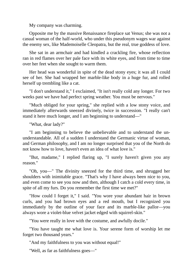My company was charming.

Opposite me by the massive Renaissance fireplace sat Venus; she was not a casual woman of the half-world, who under this pseudonym wages war against the enemy sex, like Mademoiselle Cleopatra, but the real, true goddess of love.

She sat in an armchair and had kindled a crackling fire, whose reflection ran in red flames over her pale face with its white eyes, and from time to time over her feet when she sought to warm them.

Her head was wonderful in spite of the dead stony eyes; it was all I could see of her. She had wrapped her marble-like body in a huge fur, and rolled herself up trembling like a cat.

"I don't understand it," I exclaimed, "It isn't really cold any longer. For two weeks past we have had perfect spring weather. You must be nervous."

"Much obliged for your spring," she replied with a low stony voice, and immediately afterwards sneezed divinely, twice in succession. "I really can't stand it here much longer, and I am beginning to understand—"

"What, dear lady?"

"I am beginning to believe the unbelievable and to understand the ununderstandable. All of a sudden I understand the Germanic virtue of woman, and German philosophy, and I am no longer surprised that you of the North do not know how to love, haven't even an idea of what love is."

"But, madame," I replied flaring up, "I surely haven't given you any reason."

"Oh, you—" The divinity sneezed for the third time, and shrugged her shoulders with inimitable grace. "That's why I have always been nice to you, and even come to see you now and then, although I catch a cold every time, in spite of all my furs. Do you remember the first time we met?"

"How could I forget it," I said. "You wore your abundant hair in brown curls, and you had brown eyes and a red mouth, but I recognized you immediately by the outline of your face and its marble-like pallor—you always wore a violet-blue velvet jacket edged with squirrel-skin."

"You were really in love with the costume, and awfully docile."

"You have taught me what love is. Your serene form of worship let me forget two thousand years."

"And my faithfulness to you was without equal!"

"Well, as far as faithfulness goes—"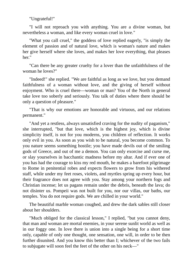"Ungrateful!"

"I will not reproach you with anything. You are a divine woman, but nevertheless a woman, and like every woman cruel in love."

"What you call cruel," the goddess of love replied eagerly, "is simply the element of passion and of natural love, which is woman's nature and makes her give herself where she loves, and makes her love everything, that pleases her."

"Can there be any greater cruelty for a lover than the unfaithfulness of the woman he loves?"

"Indeed!" she replied. "We are faithful as long as we love, but you demand faithfulness of a woman without love, and the giving of herself without enjoyment. Who is cruel there—woman or man? You of the North in general take love too soberly and seriously. You talk of duties where there should be only a question of pleasure."

"That is why our emotions are honorable and virtuous, and our relations permanent."

"And yet a restless, always unsatisfied craving for the nudity of paganism," she interrupted, "but that love, which is the highest joy, which is divine simplicity itself, is not for you moderns, you children of reflection. It works only evil in you. As soon as you wish to be natural, you become common. To you nature seems something hostile; you have made devils out of the smiling gods of Greece, and out of me a demon. You can only exorcise and curse me, or slay yourselves in bacchantic madness before my altar. And if ever one of you has had the courage to kiss my red mouth, he makes a barefoot pilgrimage to Rome in penitential robes and expects flowers to grow from his withered staff, while under my feet roses, violets, and myrtles spring up every hour, but their fragrance does not agree with you. Stay among your northern fogs and Christian incense; let us pagans remain under the debris, beneath the lava; do not disinter us. Pompeii was not built for you, nor our villas, our baths, our temples. You do not require gods. We are chilled in your world."

The beautiful marble woman coughed, and drew the dark sables still closer about her shoulders.

"Much obliged for the classical lesson," I replied, "but you cannot deny, that man and woman are mortal enemies, in your serene sunlit world as well as in our foggy one. In love there is union into a single being for a short time only, capable of only one thought, one sensation, one will, in order to be then further disunited. And you know this better than I; whichever of the two fails to subjugate will soon feel the feet of the other on his neck—"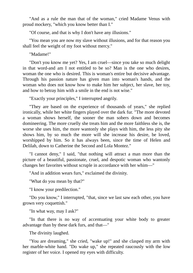"And as a rule the man that of the woman," cried Madame Venus with proud mockery, "which you know better than I."

"Of course, and that is why I don't have any illusions."

"You mean you are now my slave without illusions, and for that reason you shall feel the weight of my foot without mercy."

"Madame!"

"Don't you know me yet? Yes, I am cruel—since you take so much delight in that word-and am I not entitled to be so? Man is the one who desires, woman the one who is desired. This is woman's entire but decisive advantage. Through his passion nature has given man into woman's hands, and the woman who does not know how to make him her subject, her slave, her toy, and how to betray him with a smile in the end is not wise."

"Exactly your principles," I interrupted angrily.

"They are based on the experience of thousands of years," she replied ironically, while her white fingers played over the dark fur. "The more devoted a woman shows herself, the sooner the man sobers down and becomes domineering. The more cruelly she treats him and the more faithless she is, the worse she uses him, the more wantonly she plays with him, the less pity she shows him, by so much the more will she increase his desire, be loved, worshipped by him. So it has always been, since the time of Helen and Delilah, down to Catherine the Second and Lola Montez."

"I cannot deny," I said, "that nothing will attract a man more than the picture of a beautiful, passionate, cruel, and despotic woman who wantonly changes her favorites without scruple in accordance with her whim—"

"And in addition wears furs," exclaimed the divinity.

"What do you mean by that?"

"I know your predilection."

"Do you know," I interrupted, "that, since we last saw each other, you have grown very coquettish."

"In what way, may I ask?"

"In that there is no way of accentuating your white body to greater advantage than by these dark furs, and that—"

The divinity laughed.

"You are dreaming," she cried, "wake up!" and she clasped my arm with her marble-white hand. "Do wake up," she repeated raucously with the low register of her voice. I opened my eyes with difficulty.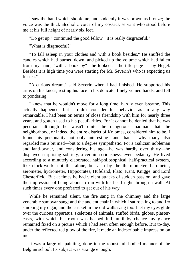I saw the hand which shook me, and suddenly it was brown as bronze; the voice was the thick alcoholic voice of my cossack servant who stood before me at his full height of nearly six feet.

"Do get up," continued the good fellow, "it is really disgraceful."

"What is disgraceful?"

"To fall asleep in your clothes and with a book besides." He snuffed the candles which had burned down, and picked up the volume which had fallen from my hand, "with a book by"—he looked at the title page— "by Hegel. Besides it is high time you were starting for Mr. Severin's who is expecting us for tea."

"A curious dream," said Severin when I had finished. He supported his arms on his knees, resting his face in his delicate, finely veined hands, and fell to pondering.

I knew that he wouldn't move for a long time, hardly even breathe. This actually happened, but I didn't consider his behavior as in any way remarkable. I had been on terms of close friendship with him for nearly three years, and gotten used to his peculiarities. For it cannot be denied that he was peculiar, although he wasn't quite the dangerous madman that the neighborhood, or indeed the entire district of Kolomea, considered him to be. I found his personality not only interesting—and that is why many also regarded me a bit mad—but to a degree sympathetic. For a Galician nobleman and land-owner, and considering his age—he was hardly over thirty—he displayed surprising sobriety, a certain seriousness, even pedantry. He lived according to a minutely elaborated, half-philosophical, half-practical system, like clock-work; not this alone, but also by the thermometer, barometer, aerometer, hydrometer, Hippocrates, Hufeland, Plato, Kant, Knigge, and Lord Chesterfield. But at times he had violent attacks of sudden passion, and gave the impression of being about to run with his head right through a wall. At such times every one preferred to get out of his way.

While he remained silent, the fire sang in the chimney and the large venerable samovar sang; and the ancient chair in which I sat rocking to and fro smoking my cigar, and the cricket in the old walls sang too. I let my eyes glide over the curious apparatus, skeletons of animals, stuffed birds, globes, plastercasts, with which his room was heaped full, until by chance my glance remained fixed on a picture which I had seen often enough before. But to-day, under the reflected red glow of the fire, it made an indescribable impression on me.

It was a large oil painting, done in the robust full-bodied manner of the Belgian school. Its subject was strange enough.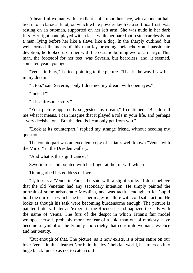A beautiful woman with a radiant smile upon her face, with abundant hair tied into a classical knot, on which white powder lay like a soft hoarfrost, was resting on an ottoman, supported on her left arm. She was nude in her dark furs. Her right hand played with a lash, while her bare foot rested carelessly on a man, lying before her like a slave, like a dog. In the sharply outlined, but well-formed linaments of this man lay brooding melancholy and passionate devotion; he looked up to her with the ecstatic burning eye of a martyr. This man, the footstool for her feet, was Severin, but beardless, and, it seemed, some ten years younger.

"Venus in Furs," I cried, pointing to the picture. "That is the way I saw her in my dream."

"I, too," said Severin, "only I dreamed my dream with open eyes."

"Indeed?"

"It is a tiresome story."

"Your picture apparently suggested my dream," I continued. "But do tell me what it means. I can imagine that it played a role in your life, and perhaps a very decisive one. But the details I can only get from you."

"Look at its counterpart," replied my strange friend, without heeding my question.

The counterpart was an excellent copy of Titian's well-known "Venus with the Mirror" in the Dresden Gallery.

"And what is the significance?"

Severin rose and pointed with his finger at the fur with which

Titian garbed his goddess of love.

"It, too, is a 'Venus in Furs,'" he said with a slight smile. "I don't believe that the old Venetian had any secondary intention. He simply painted the portrait of some aristocratic Mesalina, and was tactful enough to let Cupid hold the mirror in which she tests her majestic allure with cold satisfaction. He looks as though his task were becoming burdensome enough. The picture is painted flattery. Later an 'expert' in the Rococo period baptized the lady with the name of Venus. The furs of the despot in which Titian's fair model wrapped herself, probably more for fear of a cold than out of modesty, have become a symbol of the tyranny and cruelty that constitute woman's essence and her beauty.

"But enough of that. The picture, as it now exists, is a bitter satire on our love. Venus in this abstract North, in this icy Christian world, has to creep into huge black furs so as not to catch cold—"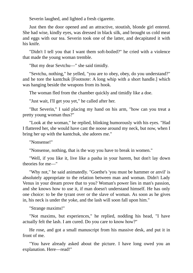Severin laughed, and lighted a fresh cigarette.

Just then the door opened and an attractive, stoutish, blonde girl entered. She had wise, kindly eyes, was dressed in black silk, and brought us cold meat and eggs with our tea. Severin took one of the latter, and decapitated it with his knife.

"Didn't I tell you that I want them soft-boiled?" he cried with a violence that made the young woman tremble.

"But my dear Sevtchu—" she said timidly.

"Sevtchu, nothing," he yelled, "you are to obey, obey, do you understand?" and he tore the kantchuk [Footnote: A long whip with a short handle.] which was hanging beside the weapons from its hook.

The woman fled from the chamber quickly and timidly like a doe.

"Just wait, I'll get you yet," he called after her.

"But Severin," I said placing my hand on his arm, "how can you treat a pretty young woman thus?"

"Look at the woman," he replied, blinking humorously with his eyes. "Had I flattered her, she would have cast the noose around my neck, but now, when I bring her up with the kantchuk, she adores me."

"Nonsense!"

"Nonsense, nothing, that is the way you have to break in women."

"Well, if you like it, live like a pasha in your harem, but don't lay down theories for me—"

"Why not," he said animatedly. "Goethe's 'you must be hammer or anvil' is absolutely appropriate to the relation between man and woman. Didn't Lady Venus in your dream prove that to you? Woman's power lies in man's passion, and she knows how to use it, if man doesn't understand himself. He has only one choice: to be the tyrant over or the slave of woman. As soon as he gives in, his neck is under the yoke, and the lash will soon fall upon him."

"Strange maxims!"

"Not maxims, but experiences," he replied, nodding his head, "I have actually felt the lash. I am cured. Do you care to know how?"

He rose, and got a small manuscript from his massive desk, and put it in front of me.

"You have already asked about the picture. I have long owed you an explanation. Here—read!"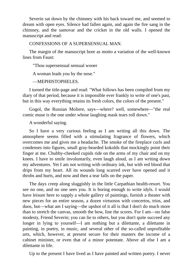Severin sat down by the chimney with his back toward me, and seemed to dream with open eyes. Silence had fallen again, and again the fire sang in the chimney, and the samovar and the cricket in the old walls. I opened the manuscript and read:

### CONFESSIONS OF A SUPERSENSUAL MAN.

The margin of the manuscript bore as motto a variation of the well-known lines from Faust:

"Thou supersensual sensual wooer

A woman leads you by the nose."

#### —MEPHISTOPHELES.

I turned the title-page and read: "What follows has been compiled from my diary of that period, because it is impossible ever frankly to write of one's past, but in this way everything retains its fresh colors, the colors of the present."

Gogol, the Russian Moliere, says—where? well, somewhere—"the real comic muse is the one under whose laughing mask tears roll down."

A wonderful saying.

So I have a very curious feeling as I am writing all this down. The atmosphere seems filled with a stimulating fragrance of flowers, which overcomes me and gives me a headache. The smoke of the fireplace curls and condenses into figures, small gray-bearded kokolds that mockingly point their finger at me. Chubby-cheeked cupids ride on the arms of my chair and on my knees. I have to smile involuntarily, even laugh aloud, as I am writing down my adventures. Yet I am not writing with ordinary ink, but with red blood that drips from my heart. All its wounds long scarred over have opened and it throbs and hurts, and now and then a tear falls on the paper.

The days creep along sluggishly in the little Carpathian health-resort. You see no one, and no one sees you. It is boring enough to write idyls. I would have leisure here to supply a whole gallery of paintings, furnish a theater with new pieces for an entire season, a dozen virtuosos with concertos, trios, and duos, but—what am I saying—the upshot of it all is that I don't do much more than to stretch the canvas, smooth the bow, line the scores. For I am—no false modesty, Friend Severin; you can lie to others, but you don't quite succeed any longer in lying to yourself—I am nothing but a dilettante, a dilettante in painting, in poetry, in music, and several other of the so-called unprofitable arts, which, however, at present secure for their masters the income of a cabinet minister, or even that of a minor potentate. Above all else I am a dilettante in life.

Up to the present I have lived as I have painted and written poetry. I never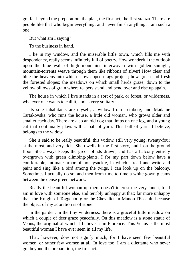got far beyond the preparation, the plan, the first act, the first stanza. There are people like that who begin everything, and never finish anything. I am such a one.

But what am I saying?

To the business in hand.

I lie in my window, and the miserable little town, which fills me with despondency, really seems infinitely full of poetry. How wonderful the outlook upon the blue wall of high mountains interwoven with golden sunlight; mountain-torrents weave through them like ribbons of silver! How clear and blue the heavens into which snowcapped crags project; how green and fresh the forested slopes; the meadows on which small herds graze, down to the yellow billows of grain where reapers stand and bend over and rise up again.

The house in which I live stands in a sort of park, or forest, or wilderness, whatever one wants to call it, and is very solitary.

Its sole inhabitants are myself, a widow from Lemberg, and Madame Tartakovska, who runs the house, a little old woman, who grows older and smaller each day. There are also an old dog that limps on one leg, and a young cat that continually plays with a ball of yarn. This ball of yarn, I believe, belongs to the widow.

She is said to be really beautiful, this widow, still very young, twenty-four at the most, and very rich. She dwells in the first story, and I on the ground floor. She always keeps the green blinds drawn, and has a balcony entirely overgrown with green climbing-plants. I for my part down below have a comfortable, intimate arbor of honeysuckle, in which I read and write and paint and sing like a bird among the twigs. I can look up on the balcony. Sometimes I actually do so, and then from time to time a white gown gleams between the dense green network.

Really the beautiful woman up there doesn't interest me very much, for I am in love with someone else, and terribly unhappy at that; far more unhappy than the Knight of Toggenburg or the Chevalier in Manon l'Escault, because the object of my adoration is of stone.

In the garden, in the tiny wilderness, there is a graceful little meadow on which a couple of deer graze peacefully. On this meadow is a stone statue of Venus, the original of which, I believe, is in Florence. This Venus is the most beautiful woman I have ever seen in all my life.

That, however, does not signify much, for I have seen few beautiful women, or rather few women at all. In love too, I am a dilettante who never got beyond the preparation, the first act.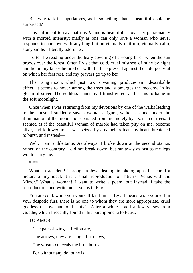But why talk in superlatives, as if something that is beautiful could be surpassed?

It is sufficient to say that this Venus is beautiful. I love her passionately with a morbid intensity; madly as one can only love a woman who never responds to our love with anything but an eternally uniform, eternally calm, stony smile. I literally adore her.

I often lie reading under the leafy covering of a young birch when the sun broods over the forest. Often I visit that cold, cruel mistress of mine by night and lie on my knees before her, with the face pressed against the cold pedestal on which her feet rest, and my prayers go up to her.

The rising moon, which just now is waning, produces an indescribable effect. It seems to hover among the trees and submerges the meadow in its gleam of silver. The goddess stands as if transfigured, and seems to bathe in the soft moonlight.

Once when I was returning from my devotions by one of the walks leading to the house, I suddenly saw a woman's figure, white as stone, under the illumination of the moon and separated from me merely by a screen of trees. It seemed as if the beautiful woman of marble had taken pity on me, become alive, and followed me. I was seized by a nameless fear, my heart threatened to burst, and instead—

Well, I am a dilettante. As always, I broke down at the second stanza; rather, on the contrary, I did not break down, but ran away as fast as my legs would carry me.

#### \*\*\*\*

What an accident! Through a Jew, dealing in photographs I secured a picture of my ideal. It is a small reproduction of Titian's "Venus with the Mirror." What a woman! I want to write a poem, but instead, I take the reproduction, and write on it: Venus in Furs.

You are cold, while you yourself fan flames. By all means wrap yourself in your despotic furs, there is no one to whom they are more appropriate, cruel goddess of love and of beauty!—After a while I add a few verses from Goethe, which I recently found in his paralipomena to Faust.

#### TO AMOR

"The pair of wings a fiction are,

The arrows, they are naught but claws,

The wreath conceals the little horns,

For without any doubt he is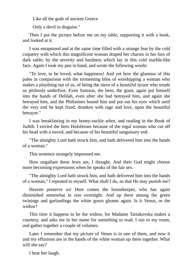Like all the gods of ancient Greece

Only a devil in disguise."

Then I put the picture before me on my table, supporting it with a book, and looked at it.

I was enraptured and at the same time filled with a strange fear by the cold coquetry with which this magnificent woman draped her charms in her furs of dark sable; by the severity and hardness which lay in this cold marble-like face. Again I took my pen in hand, and wrote the following words:

"To love, to be loved, what happiness! And yet how the glamour of this pales in comparison with the tormenting bliss of worshipping a woman who makes a plaything out of us, of being the slave of a beautiful tyrant who treads us pitilessly underfoot. Even Samson, the hero, the giant, again put himself into the hands of Delilah, even after she had betrayed him, and again she betrayed him, and the Philistines bound him and put out his eyes which until the very end he kept fixed, drunken with rage and love, upon the beautiful betrayer."

I was breakfasting in my honey-suckle arbor, and reading in the Book of Judith. I envied the hero Holofernes because of the regal woman who cut off his head with a sword, and because of his beautiful sanguinary end.

"The almighty Lord hath struck him, and hath delivered him into the hands of a woman."

This sentence strangely impressed me.

How ungallant these Jews are, I thought. And their God might choose more becoming expressions when he speaks of the fair sex.

"The almighty Lord hath struck him, and hath delivered him into the hands of a woman," I repeated to myself. What shall I do, so that He may punish me?

Heaven preserve us! Here comes the housekeeper, who has again diminished somewhat in size overnight. And up there among the green twinings and garlandings the white gown gleams again. Is it Venus, or the widow?

This time it happens to be the widow, for Madame Tartakovska makes a courtesy, and asks me in her name for something to read. I run to my room, and gather together a couple of volumes.

Later I remember that my picture of Venus is in one of them, and now it and my effusions are in the hands of the white woman up there together. What will she say?

I hear her laugh.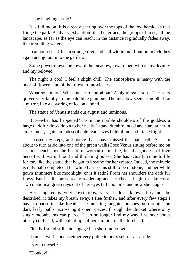Is she laughing at me?

It is full moon. It is already peering over the tops of the low hemlocks that fringe the park. A silvery exhalation fills the terrace, the groups of trees, all the landscape, as far as the eye can reach; in the distance it gradually fades away, like trembling waters.

I cannot resist. I feel a strange urge and call within me. I put on my clothes again and go out into the garden.

Some power draws me toward the meadow, toward her, who is my divinity and my beloved.

The night is cool. I feel a slight chill. The atmosphere is heavy with the odor of flowers and of the forest. It intoxicates.

What solemnity! What music round about! A nightingale sobs. The stars quiver very faintly in the pale-blue glamour. The meadow seems smooth, like a mirror, like a covering of ice on a pond.

The statue of Venus stands out august and luminous.

But—what has happened? From the marble shoulders of the goddess a large dark fur flows down to her heels. I stand dumbfounded and stare at her in amazement; again an indescribable fear seizes hold of me and I take flight.

I hasten my steps, and notice that I have missed the main path. As I am about to turn aside into one of the green walks I see Venus sitting before me on a stone bench, not the beautiful woman of marble, but the goddess of love herself with warm blood and throbbing pulses. She has actually come to life for me, like the statue that began to breathe for her creator. Indeed, the miracle is only half completed. Her white hair seems still to be of stone, and her white gown shimmers like moonlight, or is it satin? From her shoulders the dark fur flows. But her lips are already reddening and her cheeks begin to take color. Two diabolical green rays out of her eyes fall upon me, and now she laughs.

Her laughter is very mysterious, very—I don't know. It cannot be described, it takes my breath away. I flee further, and after every few steps I have to pause to take breath. The mocking laughter pursues me through the dark leafy paths, across light open spaces, through the thicket where only single moonbeams can pierce. I can no longer find my way, I wander about utterly confused, with cold drops of perspiration on the forehead.

Finally I stand still, and engage in a short monologue.

It runs—well—one is either very polite to one's self or very rude.

I say to myself:

"Donkey!"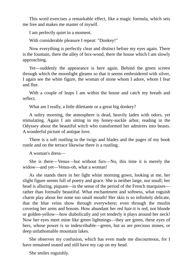This word exercises a remarkable effect, like a magic formula, which sets me free and makes me master of myself.

I am perfectly quiet in a moment.

With considerable pleasure I repeat: "Donkey!"

Now everything is perfectly clear and distinct before my eyes again. There is the fountain, there the alley of box-wood, there the house which I am slowly approaching.

Yet—suddenly the appearance is here again. Behind the green screen through which the moonlight gleams so that it seems embroidered with silver, I again see the white figure, the woman of stone whom I adore, whom I fear and flee.

With a couple of leaps I am within the house and catch my breath and reflect.

What am I really, a little dilettante or a great big donkey?

A sultry morning, the atmosphere is dead, heavily laden with odors, yet stimulating. Again I am sitting in my honey-suckle arbor, reading in the Odyssey about the beautiful witch who transformed her admirers into beasts. A wonderful picture of antique love.

There is a soft rustling in the twigs and blades and the pages of my book rustle and on the terrace likewise there is a rustling.

A woman's dress—

She is there—Venus—but without furs—No, this time it is merely the widow—and yet—Venus-oh, what a woman!

As she stands there in her light white morning gown, looking at me, her slight figure seems full of poetry and grace. She is neither large, nor small; her head is alluring, piquant—in the sense of the period of the French marquises rather than formally beautiful. What enchantment and softness, what roguish charm play about her none too small mouth! Her skin is so infinitely delicate, that the blue veins show through everywhere; even through the muslin covering her arms and bosom. How abundant her red hair-it is red, not blonde or golden-yellow—how diabolically and yet tenderly it plays around her neck! Now her eyes meet mine like green lightnings—they are green, these eyes of hers, whose power is so indescribable—green, but as are precious stones, or deep unfathomable mountain lakes.

She observes my confusion, which has even made me discourteous, for I have remained seated and still have my cap on my head.

She smiles roguishly.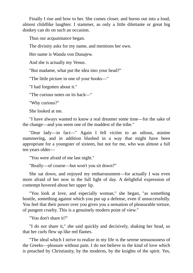Finally I rise and bow to her. She comes closer, and bursts out into a loud, almost childlike laughter. I stammer, as only a little dilettante or great big donkey can do on such an occasion.

Thus our acquaintance began.

The divinity asks for my name, and mentions her own.

Her name is Wanda von Dunajew.

And she is actually my Venus.

"But madame, what put the idea into your head?"

"The little picture in one of your books—"

"I had forgotten about it."

"The curious notes on its back—"

"Why curious?"

She looked at me.

"I have always wanted to know a real dreamer some time—for the sake of the change—and you seem one of the maddest of the tribe."

"Dear lady—in fact—" Again I fell victim to an odious, asinine stammering, and in addition blushed in a way that might have been appropriate for a youngster of sixteen, but not for me, who was almost a full ten years older—

"You were afraid of me last night."

"Really—of course—but won't you sit down?"

She sat down, and enjoyed my embarrassment—for actually I was even more afraid of her now in the full light of day. A delightful expression of contempt hovered about her upper lip.

"You look at love, and especially woman," she began, "as something hostile, something against which you put up a defense, even if unsuccessfully. You feel that their power over you gives you a sensation of pleasurable torture, of pungent cruelty. This is a genuinely modern point of view."

"You don't share it?"

"I do not share it," she said quickly and decisively, shaking her head, so that her curls flew up like red flames.

"The ideal which I strive to realize in my life is the serene sensuousness of the Greeks—pleasure without pain. I do not believe in the kind of love which is preached by Christianity, by the moderns, by the knights of the spirit. Yes,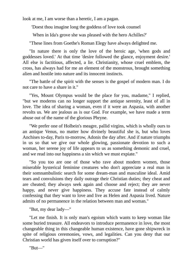look at me, I am worse than a heretic, I am a pagan.

'Doest thou imagine long the goddess of love took counsel

When in Ida's grove she was pleased with the hero Achilles?'

"These lines from Goethe's Roman Elegy have always delighted me.

"In nature there is only the love of the heroic age, 'when gods and goddesses loved.' At that time 'desire followed the glance, enjoyment desire.' All else is factitious, affected, a lie. Christianity, whose cruel emblem, the cross, has always had for me an element of the monstrous, brought something alien and hostile into nature and its innocent instincts.

"The battle of the spirit with the senses is the gospel of modern man. I do not care to have a share in it."

"Yes, Mount Olympus would be the place for you, madame," I replied, "but we moderns can no longer support the antique serenity, least of all in love. The idea of sharing a woman, even if it were an Aspasia, with another revolts us. We are jealous as is our God. For example, we have made a term abuse out of the name of the glorious Phryne.

"We prefer one of Holbein's meagre, pallid virgins, which is wholly ours to an antique Venus, no matter how divinely beautiful she is, but who loves Anchises to-day, Paris to-morrow, Adonis the day after. And if nature triumphs in us so that we give our whole glowing, passionate devotion to such a woman, her serene joy of life appears to us as something demonic and cruel, and we read into our happiness a sin which we must expiate."

"So you too are one of those who rave about modern women, those miserable hysterical feminine creatures who don't appreciate a real man in their somnambulistic search for some dream-man and masculine ideal. Amid tears and convulsions they daily outrage their Christian duties; they cheat and are cheated; they always seek again and choose and reject; they are never happy, and never give happiness. They accuse fate instead of calmly confessing that they want to love and live as Helen and Aspasia lived. Nature admits of no permanence in the relation between man and woman."

"But, my dear lady—"

"Let me finish. It is only man's egoism which wants to keep woman like some buried treasure. All endeavors to introduce permanence in love, the most changeable thing in this changeable human existence, have gone shipwreck in spite of religious ceremonies, vows, and legalities. Can you deny that our Christian world has given itself over to corruption?"

"But—"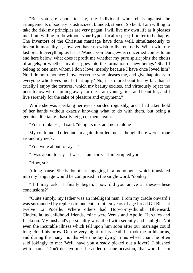"But you are about to say, the individual who rebels against the arrangements of society is ostracized, branded, stoned. So be it. I am willing to take the risk; my principles are very pagan. I will live my own life as it pleases me. I am willing to do without your hypocritical respect; I prefer to be happy. The inventors of the Christian marriage have done well, simultaneously to invent immortality. I, however, have no wish to live eternally. When with my last breath everything as far as Wanda von Dunajew is concerned comes to an end here below, what does it profit me whether my pure spirit joins the choirs of angels, or whether my dust goes into the formation of new beings? Shall I belong to one man whom I don't love, merely because I have once loved him? No, I do not renounce; I love everyone who pleases me, and give happiness to everyone who loves me. Is that ugly? No, it is more beautiful by far, than if cruelly I enjoy the tortures, which my beauty excites, and virtuously reject the poor fellow who is pining away for me. I am young, rich, and beautiful, and I live serenely for the sake of pleasure and enjoyment."

While she was speaking her eyes sparkled roguishly, and I had taken hold of her hands without exactly knowing what to do with them, but being a genuine dilettante I hastily let go of them again.

"Your frankness," I said, "delights me, and not it alone—"

My confounded dilettantism again throttled me as though there were a rope around my neck.

"You were about to say—"

"I was about to say—I was—I am sorry—I interrupted you."

"How, so?"

A long pause. She is doubtless engaging in a monologue, which translated into my language would be comprised in the single word, "donkey."

"If I may ask," I finally began, "how did you arrive at these—these conclusions?"

"Quite simply, my father was an intelligent man. From my cradle onward I was surrounded by replicas of ancient art; at ten years of age I read Gil Blas, at twelve La Pucelle. Where others had Hop-o'-my-thumb, Bluebeard, Cinderella, as childhood friends, mine were Venus and Apollo, Hercules and Lackoon. My husband's personality was filled with serenity and sunlight. Not even the incurable illness which fell upon him soon after our marriage could long cloud his brow. On the very night of his death he took me in his arms, and during the many months when he lay dying in his wheel chair, he often said jokingly to me: 'Well, have you already picked out a lover?' I blushed with shame. 'Don't deceive me,' he added on one occasion, 'that would seem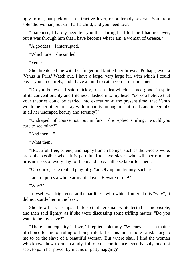ugly to me, but pick out an attractive lover, or preferably several. You are a splendid woman, but still half a child, and you need toys.'

"I suppose, I hardly need tell you that during his life time I had no lover; but it was through him that I have become what I am, a woman of Greece."

"A goddess," I interrupted.

"Which one," she smiled.

"Venus."

She threatened me with her finger and knitted her brows. "Perhaps, even a 'Venus in Furs.' Watch out, I have a large, very large fur, with which I could cover you up entirely, and I have a mind to catch you in it as in a net."

"Do you believe," I said quickly, for an idea which seemed good, in spite of its conventionality and triteness, flashed into my head, "do you believe that your theories could be carried into execution at the present time, that Venus would be permitted to stray with impunity among our railroads and telegraphs in all her undraped beauty and serenity?"

"Undraped, of course not, but in furs," she replied smiling, "would you care to see mine?"

"And then—"

"What then?"

"Beautiful, free, serene, and happy human beings, such as the Greeks were, are only possible when it is permitted to have slaves who will perform the prosaic tasks of every day for them and above all else labor for them."

"Of course," she replied playfully, "an Olympian divinity, such as

I am, requires a whole army of slaves. Beware of me!"

"Why?"

I myself was frightened at the hardiness with which I uttered this "why"; it did not startle her in the least.

She drew back her lips a little so that her small white teeth became visible, and then said lightly, as if she were discussing some trifling matter, "Do you want to be my slave?"

"There is no equality in love," I replied solemnly. "Whenever it is a matter of choice for me of ruling or being ruled, it seems much more satisfactory to me to be the slave of a beautiful woman. But where shall I find the woman who knows how to rule, calmly, full of self-confidence, even harshly, and not seek to gain her power by means of petty nagging?"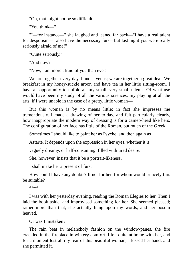"Oh, that might not be so difficult."

"You think—"

"I—for instance—" she laughed and leaned far back—"I have a real talent for despotism—I also have the necessary furs—but last night you were really seriously afraid of me!"

"Quite seriously."

"And now?"

"Now, I am more afraid of you than ever!"

We are together every day, I and—Venus; we are together a great deal. We breakfast in my honey-suckle arbor, and have tea in her little sitting-room. I have an opportunity to unfold all my small, very small talents. Of what use would have been my study of all the various sciences, my playing at all the arts, if I were unable in the case of a pretty, little woman—

But this woman is by no means little; in fact she impresses me tremendously. I made a drawing of her to-day, and felt particularly clearly, how inappropriate the modern way of dressing is for a cameo-head like hers. The configuration of her face has little of the Roman, but much of the Greek.

Sometimes I should like to paint her as Psyche, and then again as

Astarte. It depends upon the expression in her eyes, whether it is

vaguely dreamy, or half-consuming, filled with tired desire.

She, however, insists that it be a portrait-likeness.

I shall make her a present of furs.

How could I have any doubts? If not for her, for whom would princely furs be suitable?

\*\*\*\*

I was with her yesterday evening, reading the Roman Elegies to her. Then I laid the book aside, and improvised something for her. She seemed pleased; rather more than that, she actually hung upon my words, and her bosom heaved.

Or was I mistaken?

The rain beat in melancholy fashion on the window-panes, the fire crackled in the fireplace in wintery comfort. I felt quite at home with her, and for a moment lost all my fear of this beautiful woman; I kissed her hand, and she permitted it.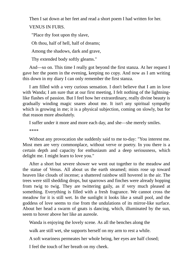Then I sat down at her feet and read a short poem I had written for her. VENUS IN FURS.

"Place thy foot upon thy slave,

Oh thou, half of hell, half of dreams;

Among the shadows, dark and grave,

Thy extended body softly gleams."

And—so on. This time I really got beyond the first stanza. At her request I gave her the poem in the evening, keeping no copy. And now as I am writing this down in my diary I can only remember the first stanza.

I am filled with a very curious sensation. I don't believe that I am in love with Wanda; I am sure that at our first meeting, I felt nothing of the lightninglike flashes of passion. But I feel how her extraordinary, really divine beauty is gradually winding magic snares about me. It isn't any spiritual sympathy which is growing in me; it is a physical subjection, coming on slowly, but for that reason more absolutely.

I suffer under it more and more each day, and she—she merely smiles.

\*\*\*\*

Without any provocation she suddenly said to me to-day: "You interest me. Most men are very commonplace, without verve or poetry. In you there is a certain depth and capacity for enthusiasm and a deep seriousness, which delight me. I might learn to love you."

After a short but severe shower we went out together to the meadow and the statue of Venus. All about us the earth steamed; mists rose up toward heaven like clouds of incense; a shattered rainbow still hovered in the air. The trees were still shedding drops, but sparrows and finches were already hopping from twig to twig. They are twittering gaily, as if very much pleased at something. Everything is filled with a fresh fragrance. We cannot cross the meadow for it is still wet. In the sunlight it looks like a small pool, and the goddess of love seems to rise from the undulations of its mirror-like surface. About her head a swarm of gnats is dancing, which, illuminated by the sun, seem to hover above her like an aureole.

Wanda is enjoying the lovely scene. As all the benches along the

walk are still wet, she supports herself on my arm to rest a while.

A soft weariness permeates her whole being, her eyes are half closed;

I feel the touch of her breath on my cheek.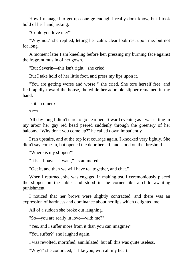How I managed to get up courage enough I really don't know, but I took hold of her hand, asking,

"Could you love me?"

"Why not," she replied, letting her calm, clear look rest upon me, but not for long.

A moment later I am kneeling before her, pressing my burning face against the fragrant muslin of her gown.

"But Severin—this isn't right," she cried.

But I take hold of her little foot, and press my lips upon it.

"You are getting worse and worse!" she cried. She tore herself free, and fled rapidly toward the house, the while her adorable slipper remained in my hand.

```
Is it an omen?
```
\*\*\*\*

All day long I didn't dare to go near her. Toward evening as I was sitting in my arbor her gay red head peered suddenly through the greenery of her balcony. "Why don't you come up?" he called down impatiently.

I ran upstairs, and at the top lost courage again. I knocked very lightly. She didn't say come-in, but opened the door herself, and stood on the threshold.

"Where is my slipper?"

"It is—I have—I want," I stammered.

"Get it, and then we will have tea together, and chat."

When I returned, she was engaged in making tea. I ceremoniously placed the slipper on the table, and stood in the corner like a child awaiting punishment.

I noticed that her brows were slightly contracted, and there was an expression of hardness and dominance about her lips which delighted me.

All of a sudden she broke out laughing.

"So—you are really in love—with me?"

"Yes, and I suffer more from it than you can imagine?"

"You suffer?" she laughed again.

I was revolted, mortified, annihilated, but all this was quite useless.

"Why?" she continued, "I like you, with all my heart."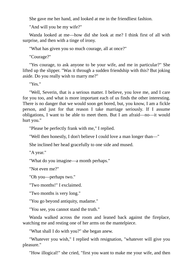She gave me her hand, and looked at me in the friendliest fashion.

"And will you be my wife?"

Wanda looked at me—how did she look at me? I think first of all with surprise, and then with a tinge of irony.

"What has given you so much courage, all at once?"

"Courage?"

"Yes courage, to ask anyone to be your wife, and me in particular?" She lifted up the slipper. "Was it through a sudden friendship with this? But joking aside. Do you really wish to marry me?"

"Yes."

"Well, Severin, that is a serious matter. I believe, you love me, and I care for you too, and what is more important each of us finds the other interesting. There is no danger that we would soon get bored, but, you know, I am a fickle person, and just for that reason I take marriage seriously. If I assume obligations, I want to be able to meet them. But I am afraid—no—it would hurt you."

"Please be perfectly frank with me," I replied.

"Well then honestly, I don't believe I could love a man longer than—"

She inclined her head gracefully to one side and mused.

"A year."

"What do you imagine—a month perhaps."

"Not even me?"

"Oh you—perhaps two."

"Two months!" I exclaimed.

"Two months is very long."

"You go beyond antiquity, madame."

"You see, you cannot stand the truth."

Wanda walked across the room and leaned back against the fireplace, watching me and resting one of her arms on the mantelpiece.

"What shall I do with you?" she began anew.

"Whatever you wish," I replied with resignation, "whatever will give you pleasure."

"How illogical!" she cried, "first you want to make me your wife, and then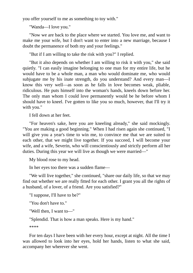you offer yourself to me as something to toy with."

"Wanda—I love you."

"Now we are back to the place where we started. You love me, and want to make me your wife, but I don't want to enter into a new marriage, because I doubt the permanence of both my and your feelings."

"But if I am willing to take the risk with you?" I replied.

"But it also depends on whether I am willing to risk it with you," she said quietly. "I can easily imagine belonging to one man for my entire life, but he would have to be a whole man, a man who would dominate me, who would subjugate me by his inate strength, do you understand? And every man—I know this very well—as soon as he falls in love becomes weak, pliable, ridiculous. He puts himself into the woman's hands, kneels down before her. The only man whom I could love permanently would be he before whom I should have to kneel. I've gotten to like you so much, however, that I'll try it with you."

I fell down at her feet.

"For heaven's sake, here you are kneeling already," she said mockingly. "You are making a good beginning." When I had risen again she continued, "I will give you a year's time to win me, to convince me that we are suited to each other, that we might live together. If you succeed, I will become your wife, and a wife, Severin, who will conscientiously and strictly perform all her duties. During this year we will live as though we were married—"

My blood rose to my head.

In her eyes too there was a sudden flame—

"We will live together," she continued, "share our daily life, so that we may find out whether we are really fitted for each other. I grant you all the rights of a husband, of a lover, of a friend. Are you satisfied?"

"I suppose, I'll have to be?"

"You don't have to."

"Well then, I want to—"

"Splendid. That is how a man speaks. Here is my hand."

\*\*\*\*

For ten days I have been with her every hour, except at night. All the time I was allowed to look into her eyes, hold her hands, listen to what she said, accompany her wherever she went.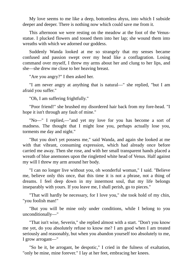My love seems to me like a deep, bottomless abyss, into which I subside deeper and deeper. There is nothing now which could save me from it.

This afternoon we were resting on the meadow at the foot of the Venusstatue. I plucked flowers and tossed them into her lap; she wound them into wreaths with which we adorned our goddess.

Suddenly Wanda looked at me so strangely that my senses became confused and passion swept over my head like a conflagration. Losing command over myself, I threw my arms about her and clung to her lips, and she—she drew me close to her heaving breast.

"Are you angry?" I then asked her.

"I am never angry at anything that is natural—" she replied, "but I am afraid you suffer."

"Oh, I am suffering frightfully."

"Poor friend!" she brushed my disordered hair back from my fore-head. "I hope it isn't through any fault of mine."

"No—" I replied,—"and yet my love for you has become a sort of madness. The thought that I might lose you, perhaps actually lose you, torments me day and night."

"But you don't yet possess me," said Wanda, and again she looked at me with that vibrant, consuming expression, which had already once before carried me away. Then she rose, and with her small transparent hands placed a wreath of blue anemones upon the ringletted white head of Venus. Half against my will I threw my arm around her body.

"I can no longer live without you, oh wonderful woman," I said. "Believe me, believe only this once, that this time it is not a phrase, not a thing of dreams. I feel deep down in my innermost soul, that my life belongs inseparably with yours. If you leave me, I shall perish, go to pieces."

"That will hardly be necessary, for I love you," she took hold of my chin, "you foolish man!"

"But you will be mine only under conditions, while I belong to you unconditionally—"

"That isn't wise, Severin," she replied almost with a start. "Don't you know me yet, do you absolutely refuse to know me? I am good when I am treated seriously and reasonably, but when you abandon yourself too absolutely to me, I grow arrogant—"

"So be it, be arrogant, be despotic," I cried in the fulness of exaltation, "only be mine, mine forever." I lay at her feet, embracing her knees.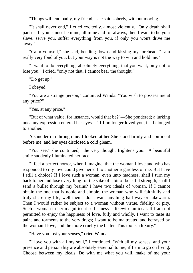"Things will end badly, my friend," she said soberly, without moving.

"It shall never end," I cried excitedly, almost violently. "Only death shall part us. If you cannot be mine, all mine and for always, then I want to be your slave, serve you, suffer everything from you, if only you won't drive me away."

"Calm yourself," she said, bending down and kissing my forehead, "I am really very fond of you, but your way is not the way to win and hold me."

"I want to do everything, absolutely everything, that you want, only not to lose you," I cried, "only not that, I cannot bear the thought."

"Do get up."

I obeyed.

"You are a strange person," continued Wanda. "You wish to possess me at any price?"

"Yes, at any price."

"But of what value, for instance, would that be?"—She pondered; a lurking uncanny expression entered her eyes—"If I no longer loved you, if I belonged to another."

A shudder ran through me. I looked at her She stood firmly and confident before me, and her eyes disclosed a cold gleam.

"You see," she continued, "the very thought frightens you." A beautiful smile suddenly illuminated her face.

"I feel a perfect horror, when I imagine, that the woman I love and who has responded to my love could give herself to another regardless of me. But have I still a choice? If I love such a woman, even unto madness, shall I turn my back to her and lose everything for the sake of a bit of boastful strength; shall I send a bullet through my brains? I have two ideals of woman. If I cannot obtain the one that is noble and simple, the woman who will faithfully and truly share my life, well then I don't want anything half-way or lukewarm. Then I would rather be subject to a woman without virtue, fidelity, or pity. Such a woman in her magnificent selfishness is likewise an ideal. If I am not permitted to enjoy the happiness of love, fully and wholly, I want to taste its pains and torments to the very dregs; I want to be maltreated and betrayed by the woman I love, and the more cruelly the better. This too is a luxury."

"Have you lost your senses," cried Wanda.

"I love you with all my soul," I continued, "with all my senses, and your presence and personality are absolutely essential to me, if I am to go on living. Choose between my ideals. Do with me what you will, make of me your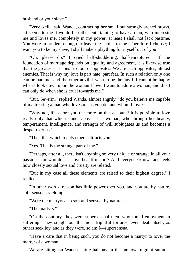husband or your slave."

"Very well," said Wanda, contracting her small but strongly arched brows, "it seems to me it would be rather entertaining to have a man, who interests me and loves me, completely in my power; at least I shall not lack pastime. You were imprudent enough to leave the choice to me. Therefore I choose; I want you to be my slave, I shall make a plaything for myself out of you!"

"Oh, please do," I cried half-shuddering, half-enraptured. "If the foundation of marriage depends on equality and agreement, it is likewise true that the greatest passions rise out of opposites. We are such opposites, almost enemies. That is why my love is part hate, part fear. In such a relation only one can be hammer and the other anvil. I wish to be the anvil. I cannot be happy when I look down upon the woman I love. I want to adore a woman, and this I can only do when she is cruel towards me."

"But, Severin," replied Wanda, almost angrily, "do you believe me capable of maltreating a man who loves me as you do, and whom I love?"

"Why not, if I adore you the more on this account? It is possible to love really only that which stands above us, a woman, who through her beauty, temperament, intelligence, and strength of will subjugates us and becomes a despot over us."

"Then that which repels others, attracts you."

"Yes. That is the strange part of me."

"Perhaps, after all, there isn't anything so very unique or strange in all your passions, for who doesn't love beautiful furs? And everyone knows and feels how closely sexual love and cruelty are related."

"But in my case all these elements are raised to their highest degree," I replied.

"In other words, reason has little power over you, and you are by nature, soft, sensual, yielding."

"Were the martyrs also soft and sensual by nature?"

"The martyrs?"

"On the contrary, they were supersensual men, who found enjoyment in suffering. They sought out the most frightful tortures, even death itself, as others seek joy, and as they were, so am I—supersensual."

"Have a care that in being such, you do not become a martyr to love, the martyr of a woman."

We are sitting on Wanda's little balcony in the mellow fragrant summer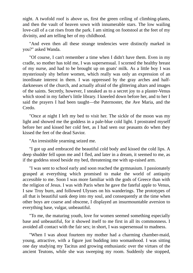night. A twofold roof is above us, first the green ceiling of climbing-plants, and then the vault of heaven sown with innumerable stars. The low wailing love-call of a cat rises from the park. I am sitting on footstool at the feet of my divinity, and am telling her of my childhood.

"And even then all these strange tendencies were distinctly marked in you?" asked Wanda.

"Of course, I can't remember a time when I didn't have them. Even in my cradle, so mother has told me, I was supersensual. I scorned the healthy breast of my nurse, and had to be brought up on goats' milk. As a little boy I was mysteriously shy before women, which really was only an expression of an inordinate interest in them. I was oppressed by the gray arches and halfdarknesses of the church, and actually afraid of the glittering altars and images of the saints. Secretly, however, I sneaked as to a secret joy to a plaster-Venus which stood in my father's little library. I kneeled down before her, and to her I said the prayers I had been taught—the Paternoster, the Ave Maria, and the Credo.

"Once at night I left my bed to visit her. The sickle of the moon was my light and showed me the goddess in a pale-blue cold light. I prostrated myself before her and kissed her cold feet, as I had seen our peasants do when they kissed the feet of the dead Savior.

"An irresistible yearning seized me.

"I got up and embraced the beautiful cold body and kissed the cold lips. A deep shudder fell upon me and I fled, and later in a dream, it seemed to me, as if the goddess stood beside my bed, threatening me with up-raised arm.

"I was sent to school early and soon reached the gymnasium. I passionately grasped at everything which promised to make the world of antiquity accessible to me. Soon I was more familiar with the gods of Greece than with the religion of Jesus. I was with Paris when he gave the fateful apple to Venus, I saw Troy burn, and followed Ulysses on his wanderings. The prototypes of all that is beautiful sank deep into my soul, and consequently at the time when other boys are coarse and obscene, I displayed an insurmountable aversion to everything base, vulgar, unbeautiful.

"To me, the maturing youth, love for women seemed something especially base and unbeautiful, for it showed itself to me first in all its commonness. I avoided all contact with the fair sex; in short, I was supersensual to madness.

"When I was about fourteen my mother had a charming chamber-maid, young, attractive, with a figure just budding into womanhood. I was sitting one day studying my Tacitus and growing enthusiastic over the virtues of the ancient Teutons, while she was sweeping my room. Suddenly she stopped,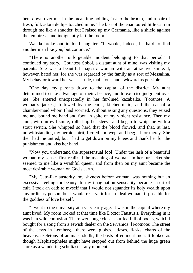bent down over me, in the meantime holding fast to the broom, and a pair of fresh, full, adorable lips touched mine. The kiss of the enamoured little cat ran through me like a shudder, but I raised up my Germania, like a shield against the temptress, and indignantly left the room."

Wanda broke out in loud laughter. "It would, indeed, be hard to find another man like you, but continue."

"There is another unforgetable incident belonging to that period," I continued my story. "Countess Sobol, a distant aunt of mine, was visiting my parents. She was a beautiful majestic woman with an attractive smile. I, however, hated her, for she was regarded by the family as a sort of Messalina. My behavior toward her was as rude, malicious, and awkward as possible.

"One day my parents drove to the capital of the district. My aunt determined to take advantage of their absence, and to exercise judgment over me. She entered unexpectedly in her fur-lined kazabaika, [Footnote: A woman's jacket.] followed by the cook, kitchen-maid, and the cat of a chamber-maid whom I had scorned. Without asking any questions, they seized me and bound me hand and foot, in spite of my violent resistance. Then my aunt, with an evil smile, rolled up her sleeve and began to whip me with a stout switch. She whipped so hard that the blood flowed, and that, at last, notwithstanding my heroic spirit, I cried and wept and begged for mercy. She then had me untied, but I had to get down on my knees and thank her for the punishment and kiss her hand.

"Now you understand the supersensual fool! Under the lash of a beautiful woman my senses first realized the meaning of woman. In her fur-jacket she seemed to me like a wrathful queen, and from then on my aunt became the most desirable woman on God's earth.

"My Cato-like austerity, my shyness before woman, was nothing but an excessive feeling for beauty. In my imagination sensuality became a sort of cult. I took an oath to myself that I would not squander its holy wealth upon any ordinary person, but I would reserve it for an ideal woman, if possible for the goddess of love herself.

"I went to the university at a very early age. It was in the capital where my aunt lived. My room looked at that time like Doctor Faustus's. Everything in it was in a wild confusion. There were huge closets stuffed full of books, which I bought for a song from a Jewish dealer on the Servanica; [Footnote: The street of the Jews in Lemberg.] there were globes, atlases, flasks, charts of the heavens, skeletons of animals, skulls, the busts of eminent men. It looked as though Mephistopheles might have stepped out from behind the huge green store as a wandering scholiast at any moment.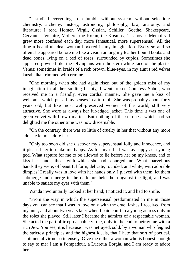"I studied everything in a jumble without system, without selection: chemistry, alchemy, history, astronomy, philosophy, law, anatomy, and literature; I read Homer, Virgil, Ossian, Schiller, Goethe, Shakespeare, Cervantes, Voltaire, Moliere, the Koran, the Kosmos, Casanova's Memoirs. I grew more confused each day, more fantastical, more supersensual. All the time a beautiful ideal woman hovered in my imagination. Every so and so often she appeared before me like a vision among my leather-bound books and dead bones, lying on a bed of roses, surrounded by cupids. Sometimes she appeared gowned like the Olympians with the stern white face of the plaster Venus; sometimes in braids of a rich brown, blue-eyes, in my aunt's red velvet kazabaika, trimmed with ermine.

"One morning when she had again risen out of the golden mist of my imagination in all her smiling beauty, I went to see Countess Sobol, who received me in a friendly, even cordial manner. She gave me a kiss of welcome, which put all my senses in a turmoil. She was probably about forty years old, but like most well-preserved women of the world, still very attractive. She wore as always her fur-edged jacket. This time it was one of green velvet with brown marten. But nothing of the sternness which had so delighted me the other time was now discernable.

"On the contrary, there was so little of cruelty in her that without any more ado she let me adore her.

"Only too soon did she discover my supersensual folly and innocence, and it pleased her to make me happy. As for myself—I was as happy as a young god. What rapture for me to be allowed to lie before her on my knees, and to kiss her hands, those with which she had scourged me! What marvellous hands they were, of beautiful form, delicate, rounded, and white, with adorable dimples! I really was in love with her hands only. I played with them, let them submerge and emerge in the dark fur, held them against the light, and was unable to satiate my eyes with them."

Wanda involuntarily looked at her hand; I noticed it, and had to smile.

"From the way in which the supersensual predominated in me in those days you can see that I was in love only with the cruel lashes I received from my aunt; and about two years later when I paid court to a young actress only in the roles she played. Still later I became the admirer of a respectable woman. She acted the part of irreproachable virtue, only in the end to betray me with a rich Jew. You see, it is because I was betrayed, sold, by a woman who feigned the strictest principles and the highest ideals, that I hate that sort of poetical, sentimental virtue so intensely. Give me rather a woman who is honest enough to say to me: I am a Pompadour, a Lucretia Borgia, and I am ready to adore her."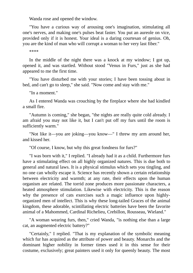Wanda rose and opened the window.

"You have a curious way of arousing one's imagination, stimulating all one's nerves, and making one's pulses beat faster. You put an aureole on vice, provided only if it is honest. Your ideal is a daring courtesan of genius. Oh, you are the kind of man who will corrupt a woman to her very last fiber."

\*\*\*\*

In the middle of the night there was a knock at my window; I got up, opened it, and was startled. Without stood "Venus in Furs," just as she had appeared to me the first time.

"You have disturbed me with your stories; I have been tossing about in bed, and can't go to sleep," she said. "Now come and stay with me."

"In a moment."

As I entered Wanda was crouching by the fireplace where she had kindled a small fire.

"Autumn is coming," she began, "the nights are really quite cold already. I am afraid you may not like it, but I can't put off my furs until the room is sufficiently warm."

"Not like it—you are joking—you know—" I threw my arm around her, and kissed her.

"Of course, I know, but why this great fondness for furs?"

"I was born with it," I replied. "I already had it as a child. Furthermore furs have a stimulating effect on all highly organized natures. This is due both to general and natural laws. It is a physical stimulus which sets you tingling, and no one can wholly escape it. Science has recently shown a certain relationship between electricity and warmth; at any rate, their effects upon the human organism are related. The torrid zone produces more passionate characters, a heated atmosphere stimulation. Likewise with electricity. This is the reason why the presence of cats exercises such a magic influence upon highlyorganized men of intellect. This is why these long-tailed Graces of the animal kingdom, these adorable, scintillating electric batteries have been the favorite animal of a Mahommed, Cardinal Richelieu, Crebillon, Rousseau, Wieland."

"A woman wearing furs, then," cried Wanda, "is nothing else than a large cat, an augmented electric battery?"

"Certainly," I replied. "That is my explanation of the symbolic meaning which fur has acquired as the attribute of power and beauty. Monarchs and the dominant higher nobility in former times used it in this sense for their costume, exclusively; great painters used it only for queenly beauty. The most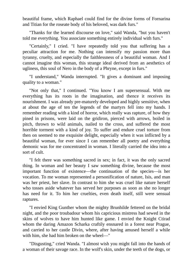beautiful frame, which Raphael could find for the divine forms of Fornarina and Titian for the roseate body of his beloved, was dark furs."

"Thanks for the learned discourse on love," said Wanda, "but you haven't told me everything. You associate something entirely individual with furs."

"Certainly," I cried. "I have repeatedly told you that suffering has a peculiar attraction for me. Nothing can intensify my passion more than tyranny, cruelty, and especially the faithlessness of a beautiful woman. And I cannot imagine this woman, this strange ideal derived from an aesthetics of ugliness, this soul of Nero in the body of a Phryne, except in furs."

"I understand," Wanda interrupted. "It gives a dominant and imposing quality to a woman."

"Not only that," I continued. "You know I am supersensual. With me everything has its roots in the imagination, and thence it receives its nourishment. I was already pre-maturely developed and highly sensitive, when at about the age of ten the legends of the martyrs fell into my hands. I remember reading with a kind of horror, which really was rapture, of how they pined in prisons, were laid on the gridiron, pierced with arrows, boiled in pitch, thrown to wild animals, nailed to the cross, and suffered the most horrible torment with a kind of joy. To suffer and endure cruel torture from then on seemed to me exquisite delight, especially when it was inflicted by a beautiful woman, for ever since I can remember all poetry and everything demonic was for me concentrated in woman. I literally carried the idea into a sort of cult.

"I felt there was something sacred in sex; in fact, it was the only sacred thing. In woman and her beauty I saw something divine, because the most important function of existence—the continuation of the species—is her vocation. To me woman represented a personification of nature, Isis, and man was her priest, her slave. In contrast to him she was cruel like nature herself who tosses aside whatever has served her purposes as soon as she no longer has need for it. To him her cruelties, even death itself, still were sensual raptures.

"I envied King Gunther whom the mighty Brunhilde fettered on the bridal night, and the poor troubadour whom his capricious mistress had sewed in the skins of wolves to have him hunted like game. I envied the Knight Ctirad whom the daring Amazon Scharka craftily ensnared in a forest near Prague, and carried to her castle Divin, where, after having amused herself a while with him, she had him broken on the wheel—"

"Disgusting," cried Wanda. "I almost wish you might fall into the hands of a woman of their savage race. In the wolf's skin, under the teeth of the dogs, or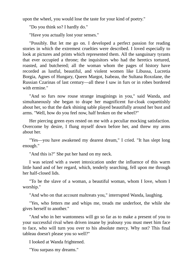upon the wheel, you would lose the taste for your kind of poetry."

"Do you think so? I hardly do."

"Have you actually lost your senses."

"Possibly. But let me go on. I developed a perfect passion for reading stories in which the extremest cruelties were described. I loved especially to look at pictures and prints which represented them. All the sanguinary tyrants that ever occupied a throne; the inquisitors who had the heretics tortured, roasted, and butchered; all the woman whom the pages of history have recorded as lustful, beautiful, and violent women like Libussa, Lucretia Borgia, Agnes of Hungary, Queen Margot, Isabeau, the Sultana Roxolane, the Russian Czarinas of last century—all these I saw in furs or in robes bordered with ermine."

"And so furs now rouse strange imaginings in you," said Wanda, and simultaneously she began to drape her magnificent fur-cloak coquettishly about her, so that the dark shining sable played beautifully around her bust and arms. "Well, how do you feel now, half broken on the wheel?"

Her piercing green eyes rested on me with a peculiar mocking satisfaction. Overcome by desire, I flung myself down before her, and threw my arms about her.

"Yes—you have awakened my dearest dream," I cried. "It has slept long enough."

"And this is?" She put her hand on my neck.

I was seized with a sweet intoxication under the influence of this warm little hand and of her regard, which, tenderly searching, fell upon me through her half-closed lids.

"To be the slave of a woman, a beautiful woman, whom I love, whom I worship."

"And who on that account maltreats you," interrupted Wanda, laughing.

"Yes, who fetters me and whips me, treads me underfoot, the while she gives herself to another."

"And who in her wantonness will go so far as to make a present of you to your successful rival when driven insane by jealousy you must meet him face to face, who will turn you over to his absolute mercy. Why not? This final tableau doesn't please you so well?"

I looked at Wanda frightened.

"You surpass my dreams."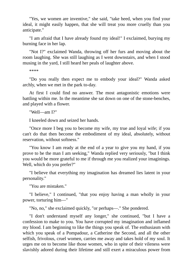"Yes, we women are inventive," she said, "take heed, when you find your ideal, it might easily happen, that she will treat you more cruelly than you anticipate."

"I am afraid that I have already found my ideal!" I exclaimed, burying my burning face in her lap.

"Not I?" exclaimed Wanda, throwing off her furs and moving about the room laughing. She was still laughing as I went downstairs, and when I stood musing in the yard, I still heard her peals of laughter above.

\*\*\*\*

"Do you really then expect me to embody your ideal?" Wanda asked archly, when we met in the park to-day.

At first I could find no answer. The most antagonistic emotions were battling within me. In the meantime she sat down on one of the stone-benches, and played with a flower.

"Well—am I?"

I kneeled down and seized her hands.

"Once more I beg you to become my wife, my true and loyal wife; if you can't do that then become the embodiment of my ideal, absolutely, without reservation, without softness."

"You know I am ready at the end of a year to give you my hand, if you prove to be the man I am seeking," Wanda replied very seriously, "but I think you would be more grateful to me if through me you realized your imaginings. Well, which do you prefer?"

"I believe that everything my imagination has dreamed lies latent in your personality."

"You are mistaken."

"I believe," I continued, "that you enjoy having a man wholly in your power, torturing him—"

"No, no," she exclaimed quickly, "or perhaps—." She pondered.

"I don't understand myself any longer," she continued, "but I have a confession to make to you. You have corrupted my imagination and inflamed my blood. I am beginning to like the things you speak of. The enthusiasm with which you speak of a Pompadour, a Catherine the Second, and all the other selfish, frivolous, cruel women, carries me away and takes hold of my soul. It urges me on to become like those women, who in spite of their vileness were slavishly adored during their lifetime and still exert a miraculous power from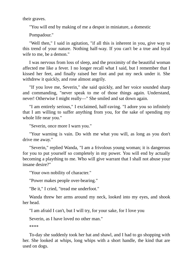their graves.

"You will end by making of me a despot in miniature, a domestic

Pompadour."

"Well then," I said in agitation, "if all this is inherent in you, give way to this trend of your nature. Nothing half-way. If you can't be a true and loyal wife to me, be a demon."

I was nervous from loss of sleep, and the proximity of the beautiful woman affected me like a fever. I no longer recall what I said, but I remember that I kissed her feet, and finally raised her foot and put my neck under it. She withdrew it quickly, and rose almost angrily.

"If you love me, Severin," she said quickly, and her voice sounded sharp and commanding, "never speak to me of those things again. Understand, never! Otherwise I might really—" She smiled and sat down again.

"I am entirely serious," I exclaimed, half-raving. "I adore you so infinitely that I am willing to suffer anything from you, for the sake of spending my whole life near you."

"Severin, once more I warn you."

"Your warning is vain. Do with me what you will, as long as you don't drive me away."

"Severin," replied Wanda, "I am a frivolous young woman; it is dangerous for you to put yourself so completely in my power. You will end by actually becoming a plaything to me. Who will give warrant that I shall not abuse your insane desire?"

"Your own nobility of character."

"Power makes people over-bearing."

"Be it," I cried, "tread me underfoot."

Wanda threw her arms around my neck, looked into my eyes, and shook her head.

"I am afraid I can't, but I will try, for your sake, for I love you

Severin, as I have loved no other man."

\*\*\*\*

To-day she suddenly took her hat and shawl, and I had to go shopping with her. She looked at whips, long whips with a short handle, the kind that are used on dogs.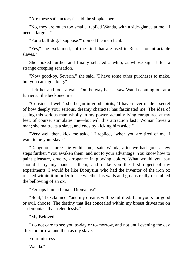"Are these satisfactory?" said the shopkeeper.

"No, they are much too small," replied Wanda, with a side-glance at me. "I need a large—"

"For a bull-dog, I suppose?" opined the merchant.

"Yes," she exclaimed, "of the kind that are used in Russia for intractable slaves."

She looked further and finally selected a whip, at whose sight I felt a strange creeping sensation.

"Now good-by, Severin," she said. "I have some other purchases to make, but you can't go along."

I left her and took a walk. On the way back I saw Wanda coming out at a furrier's. She beckoned me.

"Consider it well," she began in good spirits, "I have never made a secret of how deeply your serious, dreamy character has fascinated me. The idea of seeing this serious man wholly in my power, actually lying enraptured at my feet, of course, stimulates me—but will this attraction last? Woman loves a man; she maltreats a slave, and ends by kicking him aside."

"Very well then, kick me aside," I replied, "when you are tired of me. I want to be your slave."

"Dangerous forces lie within me," said Wanda, after we had gone a few steps further. "You awaken them, and not to your advantage. You know how to paint pleasure, cruelty, arrogance in glowing colors. What would you say should I try my hand at them, and make you the first object of my experiments. I would be like Dionysius who had the inventor of the iron ox roasted within it in order to see whether his wails and groans really resembled the bellowing of an ox.

"Perhaps I am a female Dionysius?"

"Be it," I exclaimed, "and my dreams will be fulfilled. I am yours for good or evil, choose. The destiny that lies concealed within my breast drives me on —demoniacally—relentlessly."

"My Beloved,

I do not care to see you to-day or to-morrow, and not until evening the day after tomorrow, and then as my slave.

Your mistress

Wanda."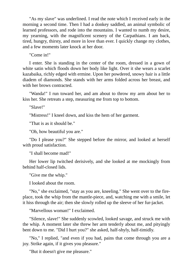"As my slave" was underlined. I read the note which I received early in the morning a second time. Then I had a donkey saddled, an animal symbolic of learned professors, and rode into the mountains. I wanted to numb my desire, my yearning, with the magnificent scenery of the Carpathians. I am back, tired, hungry, thirsty, and more in love than ever. I quickly change my clothes, and a few moments later knock at her door.

"Come in!"

I enter. She is standing in the center of the room, dressed in a gown of white satin which floods down her body like light. Over it she wears a scarlet kazabaika, richly edged with ermine. Upon her powdered, snowy hair is a little diadem of diamonds. She stands with her arms folded across her breast, and with her brows contracted.

"Wanda!" I run toward her, and am about to throw my arm about her to kiss her. She retreats a step, measuring me from top to bottom.

"Slave!"

"Mistress!" I kneel down, and kiss the hem of her garment.

"That is as it should be."

"Oh, how beautiful you are."

"Do I please you?" She stepped before the mirror, and looked at herself with proud satisfaction.

"I shall become mad!"

Her lower lip twitched derisively, and she looked at me mockingly from behind half-closed lids.

"Give me the whip."

I looked about the room.

"No," she exclaimed, "stay as you are, kneeling." She went over to the fireplace, took the whip from the mantle-piece, and, watching me with a smile, let it hiss through the air; then she slowly rolled up the sleeve of her fur-jacket.

"Marvellous woman!" I exclaimed.

"Silence, slave!" She suddenly scowled, looked savage, and struck me with the whip. A moment later she threw her arm tenderly about me, and pityingly bent down to me. "Did I hurt you?" she asked, half-shyly, half-timidly.

"No," I replied, "and even if you had, pains that come through you are a joy. Strike again, if it gives you pleasure."

"But it doesn't give me pleasure."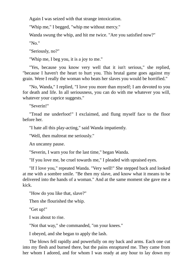Again I was seized with that strange intoxication.

"Whip me," I begged, "whip me without mercy."

Wanda swung the whip, and hit me twice. "Are you satisfied now?"

"No."

"Seriously, no?"

"Whip me, I beg you, it is a joy to me."

"Yes, because you know very well that it isn't serious," she replied, "because I haven't the heart to hurt you. This brutal game goes against my grain. Were I really the woman who beats her slaves you would be horrified."

"No, Wanda," I replied, "I love you more than myself; I am devoted to you for death and life. In all seriousness, you can do with me whatever you will, whatever your caprice suggests."

"Severin!"

"Tread me underfoot!" I exclaimed, and flung myself face to the floor before her.

"I hate all this play-acting," said Wanda impatiently.

"Well, then maltreat me seriously."

An uncanny pause.

"Severin, I warn you for the last time," began Wanda.

"If you love me, be cruel towards me," I pleaded with upraised eyes.

"If I love you," repeated Wanda. "Very well!" She stepped back and looked at me with a sombre smile. "Be then my slave, and know what it means to be delivered into the hands of a woman." And at the same moment she gave me a kick.

"How do you like that, slave?"

Then she flourished the whip.

"Get up!"

I was about to rise.

"Not that way," she commanded, "on your knees."

I obeyed, and she began to apply the lash.

The blows fell rapidly and powerfully on my back and arms. Each one cut into my flesh and burned there, but the pains enraptured me. They came from her whom I adored, and for whom I was ready at any hour to lay down my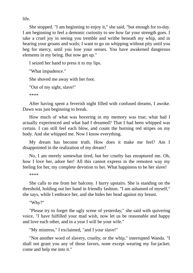life.

She stopped. "I am beginning to enjoy it," she said, "but enough for to-day. I am beginning to feel a demonic curiosity to see how far your strength goes. I take a cruel joy in seeing you tremble and writhe beneath my whip, and in hearing your groans and wails; I want to go on whipping without pity until you beg for mercy, until you lose your senses. You have awakened dangerous elements in my being. But now get up."

I seized her hand to press it to my lips.

"What impudence."

She shoved me away with her foot.

"Out of my sight, slave!"

\*\*\*\*

After having spent a feverish night filled with confused dreams, I awoke. Dawn was just beginning to break.

How much of what was hovering in my memory was true; what had I actually experienced and what had I dreamed? That I had been whipped was certain. I can still feel each blow, and count the burning red stripes on my body. And she whipped me. Now I know everything.

My dream has become truth. How does it make me feel? Am I disappointed in the realization of my dream?

No, I am merely somewhat tired, but her cruelty has enraptured me. Oh, how I love her, adore her! All this cannot express in the remotest way my feeling for her, my complete devotion to her. What happiness to be her slave!

\*\*\*\*

She calls to me from her balcony. I hurry upstairs. She is standing on the threshold, holding out her hand in friendly fashion. "I am ashamed of myself," she says, while I embrace her, and she hides her head against my breast.

"Why?"

"Please try to forget the ugly scene of yesterday," she said with quivering voice, "I have fulfilled your mad wish, now let us be reasonable and happy and love each other, and in a year I will be your wife."

"My mistress," I exclaimed, "and I your slave!"

"Not another word of slavery, cruelty, or the whip," interrupted Wanda. "I shall not grant you any of those favors, none except wearing my fur-jacket; come and help me into it."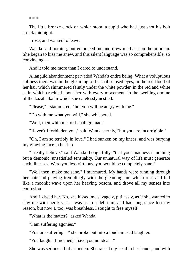\*\*\*\*

The little bronze clock on which stood a cupid who had just shot his bolt struck midnight.

I rose, and wanted to leave.

Wanda said nothing, but embraced me and drew me back on the ottoman. She began to kiss me anew, and this silent language was so comprehensible, so convincing—

And it told me more than I dared to understand.

A languid abandonment pervaded Wanda's entire being. What a voluptuous softness there was in the gloaming of her half-closed eyes, in the red flood of her hair which shimmered faintly under the white powder, in the red and white satin which crackled about her with every movement, in the swelling ermine of the kazabaika in which she carelessly nestled.

"Please," I stammered, "but you will be angry with me."

"Do with me what you will," she whispered.

"Well, then whip me, or I shall go mad."

"Haven't I forbidden you," said Wanda sternly, "but you are incorrigible."

"Oh, I am so terribly in love." I had sunken on my knees, and was burying my glowing face in her lap.

"I really believe," said Wanda thoughtfully, "that your madness is nothing but a demonic, unsatisfied sensuality. Our unnatural way of life must generate such illnesses. Were you less virtuous, you would be completely sane."

"Well then, make me sane," I murmured. My hands were running through her hair and playing tremblingly with the gleaming fur, which rose and fell like a moonlit wave upon her heaving bosom, and drove all my senses into confusion.

And I kissed her. No, she kissed me savagely, pitilessly, as if she wanted to slay me with her kisses. I was as in a delirium, and had long since lost my reason, but now I, too, was breathless. I sought to free myself.

"What is the matter?" asked Wanda.

"I am suffering agonies."

"You are suffering—" she broke out into a loud amused laughter.

"You laugh!" I moaned, "have you no idea—"

She was serious all of a sudden. She raised my head in her hands, and with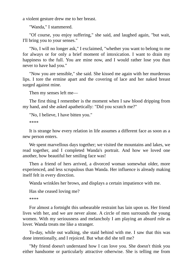a violent gesture drew me to her breast.

"Wanda," I stammered.

"Of course, you enjoy suffering," she said, and laughed again, "but wait, I'll bring you to your senses."

"No, I will no longer ask," I exclaimed, "whether you want to belong to me for always or for only a brief moment of intoxication. I want to drain my happiness to the full. You are mine now, and I would rather lose you than never to have had you."

"Now you are sensible," she said. She kissed me again with her murderous lips. I tore the ermine apart and the covering of lace and her naked breast surged against mine.

Then my senses left me—

The first thing I remember is the moment when I saw blood dripping from my hand, and she asked apathetically: "Did you scratch me?"

"No, I believe, I have bitten you."

\*\*\*\*

It is strange how every relation in life assumes a different face as soon as a new person enters.

We spent marvellous days together; we visited the mountains and lakes, we read together, and I completed Wanda's portrait. And how we loved one another, how beautiful her smiling face was!

Then a friend of hers arrived, a divorced woman somewhat older, more experienced, and less scrupulous than Wanda. Her influence is already making itself felt in every direction.

Wanda wrinkles her brows, and displays a certain impatience with me.

Has she ceased loving me?

\*\*\*\*

For almost a fortnight this unbearable restraint has lain upon us. Her friend lives with her, and we are never alone. A circle of men surrounds the young women. With my seriousness and melancholy I am playing an absurd role as lover. Wanda treats me like a stranger.

To-day, while out walking, she staid behind with me. I saw that this was done intentionally, and I rejoiced. But what did she tell me?

"My friend doesn't understand how I can love you. She doesn't think you either handsome or particularly attractive otherwise. She is telling me from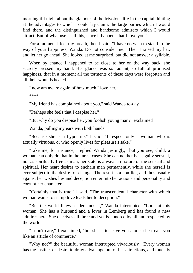morning till night about the glamour of the frivolous life in the capital, hinting at the advantages to which I could lay claim, the large parties which I would find there, and the distinguished and handsome admirers which I would attract. But of what use is all this, since it happens that I love you."

For a moment I lost my breath, then I said: "I have no wish to stand in the way of your happiness, Wanda. Do not consider me." Then I raised my hat, and let her go ahead. She looked at me surprised, but did not answer a syllable.

When by chance I happened to be close to her on the way back, she secretly pressed my hand. Her glance was so radiant, so full of promised happiness, that in a moment all the torments of these days were forgotten and all their wounds healed.

I now am aware again of how much I love her.

\*\*\*\*

"My friend has complained about you," said Wanda to-day.

"Perhaps she feels that I despise her."

"But why do you despise her, you foolish young man?" exclaimed

Wanda, pulling my ears with both hands.

"Because she is a hypocrite," I said. "I respect only a woman who is actually virtuous, or who openly lives for pleasure's sake."

"Like me, for instance," replied Wanda jestingly, "but you see, child, a woman can only do that in the rarest cases. She can neither be as gaily sensual, nor as spiritually free as man; her state is always a mixture of the sensual and spiritual. Her heart desires to enchain man permanently, while she herself is ever subject to the desire for change. The result is a conflict, and thus usually against her wishes lies and deception enter into her actions and personality and corrupt her character."

"Certainly that is true," I said. "The transcendental character with which woman wants to stamp love leads her to deception."

"But the world likewise demands it," Wanda interrupted. "Look at this woman. She has a husband and a lover in Lemberg and has found a new admirer here. She deceives all three and yet is honored by all and respected by the world."

"I don't care," I exclaimed, "but she is to leave you alone; she treats you like an article of commerce."

"Why not?" the beautiful woman interrupted vivaciously. "Every woman has the instinct or desire to draw advantage out of her attractions, and much is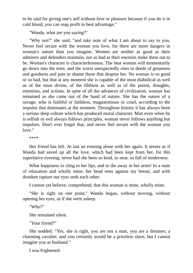to be said for giving one's self without love or pleasure because if you do it in cold blood, you can reap profit to best advantage."

"Wanda, what are you saying?"

"Why not?" she said, "and take note of what I am about to say to you. Never feel secure with the woman you love, for there are more dangers in woman's nature than you imagine. Women are neither as good as their admirers and defenders maintain, nor as bad as their enemies make them out to be. Woman's character is characterlessness. The best woman will momentarily go down into the mire, and the worst unexpectedly rises to deeds of greatness and goodness and puts to shame those that despise her. No woman is so good or so bad, but that at any moment she is capable of the most diabolical as well as of the most divine, of the filthiest as well as of the purest, thoughts, emotions, and actions. In spite of all the advances of civilization, woman has remained as she came out of the hand of nature. She has the nature of a savage, who is faithful or faithless, magnanimous or cruel, according to the impulse that dominates at the moment. Throughout history it has always been a serious deep culture which has produced moral character. Man even when he is selfish or evil always follows principles, woman never follows anything but impulses. Don't ever forget that, and never feel secure with the woman you love."

\*\*\*\*

Her friend has left. At last an evening alone with her again. It seems as if Wanda had saved up all the love, which had been kept from her, for this superlative evening; never had she been so kind, so near, so full of tenderness.

What happiness to cling to her lips, and to die away in her arms! In a state of relaxation and wholly mine, her head rests against my breast, and with drunken rapture our eyes seek each other.

I cannot yet believe, comprehend, that this woman is mine, wholly mine.

"She is right on one point," Wanda began, without moving, without opening her eyes, as if she were asleep.

"Who?"

She remained silent.

"Your friend?"

She nodded. "Yes, she is right, you are not a man, you are a dreamer, a charming cavalier, and you certainly would be a priceless slave, but I cannot imagine you as husband."

I was frightened.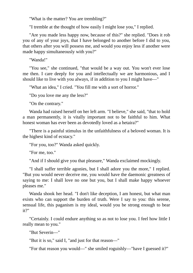"What is the matter? You are trembling?"

"I tremble at the thought of how easily I might lose you," I replied.

"Are you made less happy now, because of this?" she replied. "Does it rob you of any of your joys, that I have belonged to another before I did to you, that others after you will possess me, and would you enjoy less if another were made happy simultaneously with you?"

"Wanda!"

"You see," she continued, "that would be a way out. You won't ever lose me then. I care deeply for you and intellectually we are harmonious, and I should like to live with you always, if in addition to you I might have—"

"What an idea," I cried. "You fill me with a sort of horror."

"Do you love me any the less?"

"On the contrary."

Wanda had raised herself on her left arm. "I believe," she said, "that to hold a man permanently, it is vitally important not to be faithful to him. What honest woman has ever been as devotedly loved as a hetaira?"

"There is a painful stimulus in the unfaithfulness of a beloved woman. It is the highest kind of ecstacy."

"For you, too?" Wanda asked quickly.

"For me, too."

"And if I should give you that pleasure," Wanda exclaimed mockingly.

"I shall suffer terrible agonies, but I shall adore you the more," I replied. "But you would never deceive me, you would have the daemonic greatness of saying to me: I shall love no one but you, but I shall make happy whoever pleases me."

Wanda shook her head. "I don't like deception, I am honest, but what man exists who can support the burden of truth. Were I say to you: this serene, sensual life, this paganism is my ideal, would you be strong enough to bear it?"

"Certainly. I could endure anything so as not to lose you. I feel how little I really mean to you."

"But Severin—"

"But it is so," said I, "and just for that reason—"

"For that reason you would—" she smiled roguishly—"have I guessed it?"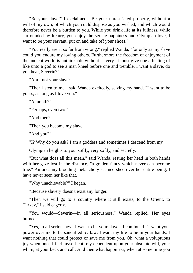"Be your slave!" I exclaimed. "Be your unrestricted property, without a will of my own, of which you could dispose as you wished, and which would therefore never be a burden to you. While you drink life at its fullness, while surrounded by luxury, you enjoy the serene happiness and Olympian love, I want to be your servant, put on and take off your shoes."

"You really aren't so far from wrong," replied Wanda, "for only as my slave could you endure my loving others. Furthermore the freedom of enjoyment of the ancient world is unthinkable without slavery. It must give one a feeling of like unto a god to see a man kneel before one and tremble. I want a slave, do you hear, Severin?"

"Am I not your slave?"

"Then listen to me," said Wanda excitedly, seizing my hand. "I want to be yours, as long as I love you."

"A month?"

"Perhaps, even two."

"And then?"

"Then you become my slave."

"And you?"

"I? Why do you ask? I am a goddess and sometimes I descend from my

Olympian heights to you, softly, very softly, and secretly.

"But what does all this mean," said Wanda, resting her head in both hands with her gaze lost in the distance, "a golden fancy which never can become true." An uncanny brooding melancholy seemed shed over her entire being; I have never seen her like that.

"Why unachievable?" I began.

"Because slavery doesn't exist any longer."

"Then we will go to a country where it still exists, to the Orient, to Turkey," I said eagerly.

"You would—Severin—in all seriousness," Wanda replied. Her eyes burned.

"Yes, in all seriousness, I want to be your slave," I continued. "I want your power over me to be sanctified by law; I want my life to be in your hands, I want nothing that could protect or save me from you. Oh, what a voluptuous joy when once I feel myself entirely dependent upon your absolute will, your whim, at your beck and call. And then what happiness, when at some time you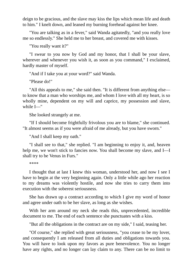deign to be gracious, and the slave may kiss the lips which mean life and death to him." I knelt down, and leaned my burning forehead against her knee.

"You are talking as in a fever," said Wanda agitatedly, "and you really love me so endlessly." She held me to her breast, and covered me with kisses.

"You really want it?"

"I swear to you now by God and my honor, that I shall be your slave, wherever and whenever you wish it, as soon as you command," I exclaimed, hardly master of myself.

"And if I take you at your word?" said Wanda.

"Please do!"

"All this appeals to me," she said then. "It is different from anything elseto know that a man who worships me, and whom I love with all my heart, is so wholly mine, dependent on my will and caprice, my possession and slave, while I—"

She looked strangely at me.

"If I should become frightfully frivolous you are to blame," she continued. "It almost seems as if you were afraid of me already, but you have sworn."

"And I shall keep my oath."

"I shall see to that," she replied. "I am beginning to enjoy it, and, heaven help me, we won't stick to fancies now. You shall become my slave, and I—I shall try to be Venus in Furs."

\*\*\*\*

I thought that at last I knew this woman, understood her, and now I see I have to begin at the very beginning again. Only a little while ago her reaction to my dreams was violently hostile, and now she tries to carry them into execution with the soberest seriousness.

She has drawn up a contract according to which I give my word of honor and agree under oath to be her slave, as long as she wishes.

With her arm around my neck she reads this, unprecedented, incredible document to me. The end of each sentence she punctuates with a kiss.

"But all the obligations in the contract are on my side," I said, teasing her.

"Of course," she replied with great seriousness, "you cease to be my lover, and consequently I am released from all duties and obligations towards you. You will have to look upon my favors as pure benevolence. You no longer have any rights, and no longer can lay claim to any. There can be no limit to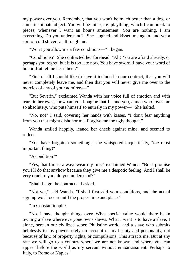my power over you. Remember, that you won't be much better than a dog, or some inanimate object. You will be mine, my plaything, which I can break to pieces, whenever I want an hour's amusement. You are nothing, I am everything. Do you understand?" She laughed and kissed me again, and yet a sort of cold shiver ran through me.

"Won't you allow me a few conditions—" I began.

"Conditions?" She contracted her forehead. "Ah! You are afraid already, or perhaps you regret, but it is too late now. You have sworn, I have your word of honor. But let me hear them."

"First of all I should like to have it included in our contract, that you will never completely leave me, and then that you will never give me over to the mercies of any of your admirers—"

"But Severin," exclaimed Wanda with her voice full of emotion and with tears in her eyes, "how can you imagine that I—and you, a man who loves me so absolutely, who puts himself so entirely in my power—" She halted.

"No, no!" I said, covering her hands with kisses. "I don't fear anything from you that might dishonor me. Forgive me the ugly thought."

Wanda smiled happily, leaned her cheek against mine, and seemed to reflect.

"You have forgotten something," she whispered coquettishly, "the most important thing!"

"A condition?"

"Yes, that I must always wear my furs," exclaimed Wanda. "But I promise you I'll do that anyhow because they give me a despotic feeling. And I shall be very cruel to you, do you understand?"

"Shall I sign the contract?" I asked.

"Not yet," said Wanda. "I shall first add your conditions, and the actual signing won't occur until the proper time and place."

"In Constantinople?"

"No. I have thought things over. What special value would there be in owning a slave where everyone owns slaves. What I want is to have a slave, I alone, here in our civilized sober, Philistine world, and a slave who submits helplessly to my power solely on account of my beauty and personality, not because of law, of property rights, or compulsions. This attracts me. But at any rate we will go to a country where we are not known and where you can appear before the world as my servant without embarrassment. Perhaps to Italy, to Rome or Naples."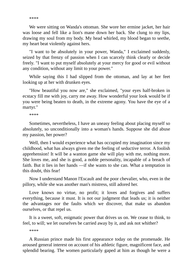\*\*\*\*

We were sitting on Wanda's ottoman. She wore her ermine jacket, her hair was loose and fell like a lion's mane down her back. She clung to my lips, drawing my soul from my body. My head whirled, my blood began to seethe, my heart beat violently against hers.

"I want to be absolutely in your power, Wanda," I exclaimed suddenly, seized by that frenzy of passion when I can scarcely think clearly or decide freely. "I want to put myself absolutely at your mercy for good or evil without any condition, without any limit to your power."

While saying this I had slipped from the ottoman, and lay at her feet looking up at her with drunken eyes.

"How beautiful you now are," she exclaimed, "your eyes half-broken in ecstacy fill me with joy, carry me away. How wonderful your look would be if you were being beaten to death, in the extreme agony. You have the eye of a martyr."

\*\*\*\*

Sometimes, nevertheless, I have an uneasy feeling about placing myself so absolutely, so unconditionally into a woman's hands. Suppose she did abuse my passion, her power?

Well, then I would experience what has occupied my imagination since my childhood, what has always given me the feeling of seductive terror. A foolish apprehension! It will be a wanton game she will play with me, nothing more. She loves me, and she is good, a noble personality, incapable of a breach of faith. But it lies in her hands —if she wants to she can. What a temptation in this doubt, this fear!

Now I understand Manon l'Escault and the poor chevalier, who, even in the pillory, while she was another man's mistress, still adored her.

Love knows no virtue, no profit; it loves and forgives and suffers everything, because it must. It is not our judgment that leads us; it is neither the advantages nor the faults which we discover, that make us abandon ourselves, or that repel us.

It is a sweet, soft, enigmatic power that drives us on. We cease to think, to feel, to will; we let ourselves be carried away by it, and ask not whither?

\*\*\*\*

A Russian prince made his first appearance today on the promenade. He aroused general interest on account of his athletic figure, magnificent face, and splendid bearing. The women particularly gaped at him as though he were a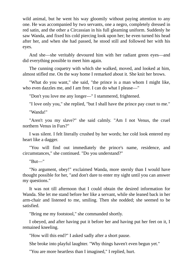wild animal, but he went his way gloomily without paying attention to any one. He was accompanied by two servants, one a negro, completely dressed in red satin, and the other a Circassian in his full gleaming uniform. Suddenly he saw Wanda, and fixed his cold piercing look upon her; he even turned his head after her, and when she had passed, he stood still and followed her with his eyes.

And she—she veritably devoured him with her radiant green eyes—and did everything possible to meet him again.

The cunning coquetry with which she walked, moved, and looked at him, almost stifled me. On the way home I remarked about it. She knit her brows.

"What do you want," she said, "the prince is a man whom I might like, who even dazzles me, and I am free. I can do what I please—"

"Don't you love me any longer—" I stammered, frightened.

"I love only you," she replied, "but I shall have the prince pay court to me."

"Wanda!"

"Aren't you my slave?" she said calmly. "Am I not Venus, the cruel northern Venus in Furs?"

I was silent. I felt literally crushed by her words; her cold look entered my heart like a dagger.

"You will find out immediately the prince's name, residence, and circumstances," she continued. "Do you understand?"

"But—"

"No argument, obey!" exclaimed Wanda, more sternly than I would have thought possible for her, "and don't dare to enter my sight until you can answer my questions."

It was not till afternoon that I could obtain the desired information for Wanda. She let me stand before her like a servant, while she leaned back in her arm-chair and listened to me, smiling. Then she nodded; she seemed to be satisfied.

"Bring me my footstool," she commanded shortly.

I obeyed, and after having put it before her and having put her feet on it, I remained kneeling.

"How will this end?" I asked sadly after a short pause.

She broke into playful laughter. "Why things haven't even begun yet."

"You are more heartless than I imagined," I replied, hurt.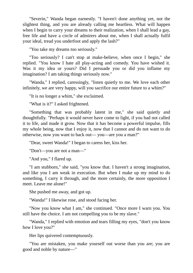"Severin," Wanda began earnestly. "I haven't done anything yet, not the slightest thing, and you are already calling me heartless. What will happen when I begin to carry your dreams to their realization, when I shall lead a gay, free life and have a circle of admirers about me, when I shall actually fulfil your ideal, tread you underfoot and apply the lash?"

"You take my dreams too seriously."

"Too seriously? I can't stop at make-believe, when once I begin," she replied. "You know I hate all play-acting and comedy. You have wished it. Was it my idea or yours? Did I persuade you or did you inflame my imagination? I am taking things seriously now."

"Wanda," I replied, caressingly, "listen quietly to me. We love each other infinitely, we are very happy, will you sacrifice our entire future to a whim?"

"It is no longer a whim," she exclaimed.

"What is it?" I asked frightened.

"Something that was probably latent in me," she said quietly and thoughtfully. "Perhaps it would never have come to light, if you had not called it to life, and made it grow. Now that it has become a powerful impulse, fills my whole being, now that I enjoy it, now that I cannot and do not want to do otherwise, now you want to back out— you—are you a man?"

"Dear, sweet Wanda!" I began to caress her, kiss her.

"Don't—you are not a man—"

"And you," I flared up.

"I am stubborn," she said, "you know that. I haven't a strong imagination, and like you I am weak in execution. But when I make up my mind to do something, I carry it through, and the more certainly, the more opposition I meet. Leave me alone!"

She pushed me away, and got up.

"Wanda!" I likewise rose, and stood facing her.

"Now you know what I am," she continued. "Once more I warn you. You still have the choice. I am not compelling you to be my slave."

"Wanda," I replied with emotion and tears filling my eyes, "don't you know how I love you?"

Her lips quivered contemptuously.

"You are mistaken, you make yourself out worse than you are; you are good and noble by nature—"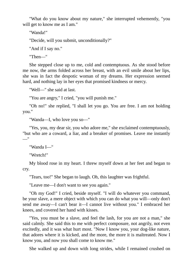"What do you know about my nature," she interrupted vehemently, "you will get to know me as I am."

"Wanda!"

"Decide, will you submit, unconditionally?"

"And if I say no."

"Then—"

She stepped close up to me, cold and contemptuous. As she stood before me now, the arms folded across her breast, with an evil smile about her lips, she was in fact the despotic woman of my dreams. Her expression seemed hard, and nothing lay in her eyes that promised kindness or mercy.

"Well—" she said at last.

"You are angry," I cried, "you will punish me."

"Oh no!" she replied, "I shall let you go. You are free. I am not holding you."

"Wanda—I, who love you so—"

"Yes, you, my dear sir, you who adore me," she exclaimed contemptuously, "but who are a coward, a liar, and a breaker of promises. Leave me instantly —"

"Wanda I—"

"Wretch!"

My blood rose in my heart. I threw myself down at her feet and began to cry.

"Tears, too!" She began to laugh. Oh, this laughter was frightful.

"Leave me—I don't want to see you again."

"Oh my God!" I cried, beside myself. "I will do whatever you command, be your slave, a mere object with which you can do what you will—only don't send me away—I can't bear it—I cannot live without you." I embraced her knees, and covered her hand with kisses.

"Yes, you must be a slave, and feel the lash, for you are not a man," she said calmly. She said this to me with perfect composure, not angrily, not even excitedly, and it was what hurt most. "Now I know you, your dog-like nature, that adores where it is kicked, and the more, the more it is maltreated. Now I know you, and now you shall come to know me."

She walked up and down with long strides, while I remained crushed on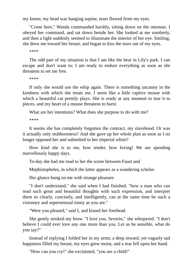my knees; my head was hanging supine, tears flowed from my eyes.

"Come here," Wanda commanded harshly, sitting down on the ottoman. I obeyed her command, and sat down beside her. She looked at me sombrely, and then a light suddenly seemed to illuminate the interior of her eye. Smiling, she drew me toward her breast, and began to kiss the tears out of my eyes.

\*\*\*\*

The odd part of my situation is that I am like the bear in Lily's park. I can escape and don't want to; I am ready to endure everything as soon as she threatens to set me free.

\*\*\*\*

If only she would use the whip again. There is something uncanny in the kindness with which she treats me. I seem like a little captive mouse with which a beautiful cat prettily plays. She is ready at any moment to tear it to pieces, and my heart of a mouse threatens to burst.

What are her intentions? What does she purpose to do with me?

\*\*\*\*

It seems she has completely forgotten the contract, my slavehood. Or was it actually only stubbornness? And she gave up her whole plan as soon as I no longer opposed her and submitted to her imperial whim?

How kind she is to me, how tender, how loving! We are spending marvellously happy days.

To-day she had me read to her the scene between Faust and

Mephistopheles, in which the latter appears as a wandering scholar.

Her glance hung on me with strange pleasure.

"I don't understand," she said when I had finished, "how a man who can read such great and beautiful thoughts with such expression, and interpret them so clearly, concisely, and intelligently, can at the same time be such a visionary and supersensual ninny as you are."

"Were you pleased," said I, and kissed her forehead.

She gently stroked my brow. "I love you, Severin," she whispered. "I don't believe I could ever love any one more than you. Let us be sensible, what do you say?"

Instead of replying I folded her in my arms; a deep inward, yet vaguely sad happiness filled my breast, my eyes grew moist, and a tear fell upon her hand.

"How can you cry!" she exclaimed, "you are a child!"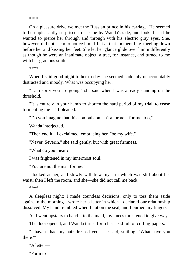\*\*\*\*

On a pleasure drive we met the Russian prince in his carriage. He seemed to be unpleasantly surprised to see me by Wanda's side, and looked as if he wanted to pierce her through and through with his electric gray eyes. She, however, did not seem to notice him. I felt at that moment like kneeling down before her and kissing her feet. She let her glance glide over him indifferently as though he were an inanimate object, a tree, for instance, and turned to me with her gracious smile.

\*\*\*\*

When I said good-night to her to-day she seemed suddenly unaccountably distracted and moody. What was occupying her?

"I am sorry you are going," she said when I was already standing on the threshold.

"It is entirely in your hands to shorten the hard period of my trial, to cease tormenting me—" I pleaded.

"Do you imagine that this compulsion isn't a torment for me, too,"

Wanda interjected.

"Then end it," I exclaimed, embracing her, "be my wife."

"Never, Severin," she said gently, but with great firmness.

"What do you mean?"

I was frightened in my innermost soul.

"You are not the man for me."

I looked at her, and slowly withdrew my arm which was still about her waist; then I left the room, and she—she did not call me back.

\*\*\*\*

A sleepless night; I made countless decisions, only to toss them aside again. In the morning I wrote her a letter in which I declared our relationship dissolved. My hand trembled when I put on the seal, and I burned my fingers.

As I went upstairs to hand it to the maid, my knees threatened to give way.

The door opened, and Wanda thrust forth her head full of curling-papers.

"I haven't had my hair dressed yet," she said, smiling. "What have you there?"

"A letter—"

"For me?"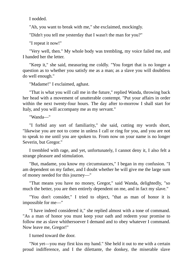I nodded.

"Ah, you want to break with me," she exclaimed, mockingly.

"Didn't you tell me yesterday that I wasn't the man for you?"

"I repeat it now!"

"Very well, then." My whole body was trembling, my voice failed me, and I handed her the letter.

"Keep it," she said, measuring me coldly. "You forget that is no longer a question as to whether you satisfy me as a man; as a slave you will doubtless do well enough."

"Madame!" I exclaimed, aghast.

"That is what you will call me in the future," replied Wanda, throwing back her head with a movement of unutterable contempt. "Put your affairs in order within the next twenty-four hours. The day after to-morrow I shall start for Italy, and you will accompany me as my servant."

"Wanda—"

"I forbid any sort of familiarity," she said, cutting my words short, "likewise you are not to come in unless I call or ring for you, and you are not to speak to me until you are spoken to. From now on your name is no longer Severin, but Gregor."

I trembled with rage, and yet, unfortunately, I cannot deny it, I also felt a strange pleasure and stimulation.

"But, madame, you know my circumstances," I began in my confusion. "I am dependent on my father, and I doubt whether he will give me the large sum of money needed for this journey—"

"That means you have no money, Gregor," said Wanda, delightedly, "so much the better, you are then entirely dependent on me, and in fact my slave."

"You don't consider," I tried to object, "that as man of honor it is impossible for me—"

"I have indeed considered it," she replied almost with a tone of command. "As a man of honor you must keep your oath and redeem your promise to follow me as slave whithersoever I demand and to obey whatever I command. Now leave me, Gregor!"

I turned toward the door.

"Not yet—you may first kiss my hand." She held it out to me with a certain proud indifference, and I the dilettante, the donkey, the miserable slave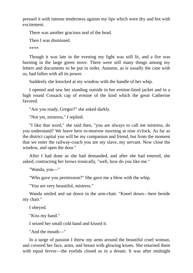pressed it with intense tenderness against my lips which were dry and hot with excitement.

There was another gracious nod of the head.

Then I was dismissed.

\*\*\*\*

Though it was late in the evening my light was still lit, and a fire was burning in the large green stove. There were still many things among my letters and documents to be put in order. Autumn, as is usually the case with us, had fallen with all its power.

Suddenly she knocked at my window with the handle of her whip.

I opened and saw her standing outside in her ermine-lined jacket and in a high round Cossack cap of ermine of the kind which the great Catherine favored.

"Are you ready, Gregor?" she asked darkly.

"Not yet, mistress," I replied.

"I like that word," she said then, "you are always to call me mistress, do you understand? We leave here to-morrow morning at nine o'clock. As far as the district capital you will be my companion and friend, but from the moment that we enter the railway-coach you are my slave, my servant. Now close the window, and open the door."

After I had done as she had demanded, and after she had entered, she asked, contracting her brows ironically, "well, how do you like me."

"Wanda, you—"

"Who gave you permission?" She gave me a blow with the whip.

"You are very beautiful, mistress."

Wanda smiled and sat down in the arm-chair. "Kneel down—here beside my chair."

I obeyed.

"Kiss my hand."

I seized her small cold hand and kissed it.

"And the mouth—"

In a surge of passion I threw my arms around the beautiful cruel woman, and covered her face, arms, and breast with glowing kisses. She returned them with equal fervor—the eyelids closed as in a dream. It was after midnight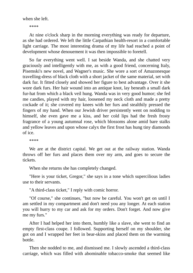when she left.

\*\*\*\*

At nine o'clock sharp in the morning everything was ready for departure, as she had ordered. We left the little Carpathian health-resort in a comfortable light carriage. The most interesting drama of my life had reached a point of development whose denouement it was then impossible to foretell.

So far everything went well. I sat beside Wanda, and she chatted very graciously and intelligently with me, as with a good friend, concerning Italy, Pisemski's new novel, and Wagner's music. She wore a sort of Amazonesque travelling-dress of black cloth with a short jacket of the same material, set with dark fur. It fitted closely and showed her figure to best advantage. Over it she wore dark furs. Her hair wound into an antique knot, lay beneath a small dark fur-hat from which a black veil hung. Wanda was in very good humor; she fed me candies, played with my hair, loosened my neck cloth and made a pretty cockade of it; she covered my knees with her furs and stealthily pressed the fingers of my hand. When our Jewish driver persistently went on nodding to himself, she even gave me a kiss, and her cold lips had the fresh frosty fragrance of a young autumnal rose, which blossoms alone amid bare stalks and yellow leaves and upon whose calyx the first frost has hung tiny diamonds of ice.

\*\*\*\*

We are at the district capital. We get out at the railway station. Wanda throws off her furs and places them over my arm, and goes to secure the tickets.

When she returns she has completely changed.

"Here is your ticket, Gregor," she says in a tone which supercilious ladies use to their servants.

"A third-class ticket," I reply with comic horror.

"Of course," she continues, "but now be careful. You won't get on until I am settled in my compartment and don't need you any longer. At each station you will hurry to my car and ask for my orders. Don't forget. And now give me my furs."

After I had helped her into them, humbly like a slave, she went to find an empty first-class coupe. I followed. Supporting herself on my shoulder, she got on and I wrapped her feet in bear-skins and placed them on the warming bottle.

Then she nodded to me, and dismissed me. I slowly ascended a third-class carriage, which was filled with abominable tobacco-smoke that seemed like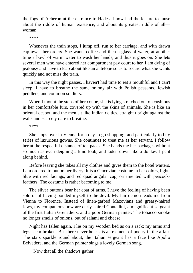the fogs of Acheron at the entrance to Hades. I now had the leisure to muse about the riddle of human existence, and about its greatest riddle of all woman.

\*\*\*\*

Whenever the train stops, I jump off, run to her carriage, and with drawn cap await her orders. She wants coffee and then a glass of water, at another time a bowl of warm water to wash her hands, and thus it goes on. She lets several men who have entered her compartment pay court to her. I am dying of jealousy and have to leap about like an antelope so as to secure what she wants quickly and not miss the train.

In this way the night passes. I haven't had time to eat a mouthful and I can't sleep, I have to breathe the same oniony air with Polish peasants, Jewish peddlers, and common soldiers.

When I mount the steps of her coupe, she is lying stretched out on cushions in her comfortable furs, covered up with the skins of animals. She is like an oriental despot, and the men sit like Indian deities, straight upright against the walls and scarcely dare to breathe.

\*\*\*\*

She stops over in Vienna for a day to go shopping, and particularly to buy series of luxurious gowns. She continues to treat me as her servant. I follow her at the respectful distance of ten paces. She hands me her packages without so much as even deigning a kind look, and laden down like a donkey I pant along behind.

Before leaving she takes all my clothes and gives them to the hotel waiters. I am ordered to put on her livery. It is a Cracovian costume in her colors, lightblue with red facings, and red quadrangular cap, ornamented with peacockfeathers. The costume is rather becoming to me.

The silver buttons bear her coat of arms. I have the feeling of having been sold or of having bonded myself to the devil. My fair demon leads me from Vienna to Florence. Instead of linen-garbed Mazovians and greasy-haired Jews, my companions now are curly-haired Contadini, a magnificent sergeant of the first Italian Grenadiers, and a poor German painter. The tobacco smoke no longer smells of onions, but of salami and cheese.

Night has fallen again. I lie on my wooden bed as on a rack; my arms and legs seem broken. But there nevertheless is an element of poetry in the affair. The stars sparkle round about, the Italian sergeant has a face like Apollo Belvedere, and the German painter sings a lovely German song.

"Now that all the shadows gather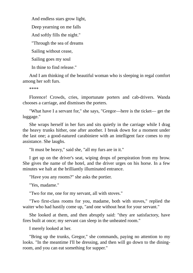And endless stars grow light, Deep yearning on me falls And softly fills the night." "Through the sea of dreams Sailing without cease, Sailing goes my soul In thine to find release."

And I am thinking of the beautiful woman who is sleeping in regal comfort among her soft furs.

\*\*\*\*

Florence! Crowds, cries, importunate porters and cab-drivers. Wanda chooses a carriage, and dismisses the porters.

"What have I a servant for," she says, "Gregor—here is the ticket— get the luggage."

She wraps herself in her furs and sits quietly in the carriage while I drag the heavy trunks hither, one after another. I break down for a moment under the last one; a good-natured carabiniere with an intelligent face comes to my assistance. She laughs.

"It must be heavy," said she, "all my furs are in it."

I get up on the driver's seat, wiping drops of perspiration from my brow. She gives the name of the hotel, and the driver urges on his horse. In a few minutes we halt at the brilliantly illuminated entrance.

"Have you any rooms?" she asks the portier.

"Yes, madame."

"Two for me, one for my servant, all with stoves."

"Two first-class rooms for you, madame, both with stoves," replied the waiter who had hastily come up, "and one without heat for your servant."

She looked at them, and then abruptly said: "they are satisfactory, have fires built at once; my servant can sleep in the unheated room."

I merely looked at her.

"Bring up the trunks, Gregor," she commands, paying no attention to my looks. "In the meantime I'll be dressing, and then will go down to the diningroom, and you can eat something for supper."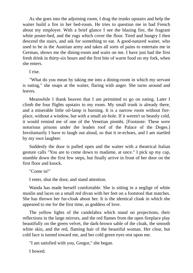As she goes into the adjoining room, I drag the trunks upstairs and help the waiter build a fire in her bed-room. He tries to question me in bad French about my employer. With a brief glance I see the blazing fire, the fragrant white poster-bed, and the rugs which cover the floor. Tired and hungry I then descend the stairs, and ask for something to eat. A good-natured waiter, who used to be in the Austrian army and takes all sorts of pains to entertain me in German, shows me the dining-room and waits on me. I have just had the first fresh drink in thirty-six hours and the first bite of warm food on my fork, when she enters.

I rise.

"What do you mean by taking me into a dining-room in which my servant is eating," she snaps at the waiter, flaring with anger. She turns around and leaves.

Meanwhile I thank heaven that I am permitted to go on eating. Later I climb the four flights upstairs to my room. My small trunk is already there, and a miserable little oil-lamp is burning. It is a narrow room without fireplace, without a window, but with a small air-hole. If it weren't so beastly cold, it would remind me of one of the Venetian piombi. [Footnote: These were notorious prisons under the leaden roof of the Palace of the Doges.] Involuntarily I have to laugh out aloud, so that it re-echoes, and I am startled by my own laughter.

Suddenly the door is pulled open and the waiter with a theatrical Italian gesture calls "You are to come down to madame, at once." I pick up my cap, stumble down the first few steps, but finally arrive in front of her door on the first floor and knock.

"Come in!"

I enter, shut the door, and stand attention.

Wanda has made herself comfortable. She is sitting in a neglige of white muslin and laces on a small red divan with her feet on a footstool that matches. She has thrown her fur-cloak about her. It is the identical cloak in which she appeared to me for the first time, as goddess of love.

The yellow lights of the candelabra which stand on projections, their reflections in the large mirrors, and the red flames from the open fireplace play beautifully on the green velvet, the dark-brown sable of the cloak, the smooth white skin, and the red, flaming hair of the beautiful woman. Her clear, but cold face is turned toward me, and her cold green eyes rest upon me.

"I am satisfied with you, Gregor," she began.

I bowed.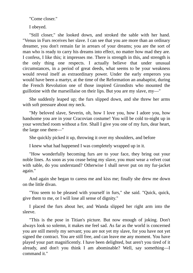"Come closer."

I obeyed.

"Still closer," she looked down, and stroked the sable with her hand. "Venus in Furs receives her slave. I can see that you are more than an ordinary dreamer, you don't remain far in arrears of your dreams; you are the sort of man who is ready to carry his dreams into effect, no matter how mad they are. I confess, I like this; it impresses me. There is strength in this, and strength is the only thing one respects. I actually believe that under unusual circumstances, in a period of great deeds, what seems to be your weakness would reveal itself as extraordinary power. Under the early emperors you would have been a martyr, at the time of the Reformation an anabaptist, during the French Revolution one of those inspired Girondists who mounted the guillotine with the marseillaise on their lips. But you are my slave, my—"

She suddenly leaped up; the furs slipped down, and she threw her arms with soft pressure about my neck.

"My beloved slave, Severin, oh, how I love you, how I adore you, how handsome you are in your Cracovian costume! You will be cold to-night up in your wretched room without a fire. Shall I give you one of my furs, dear heart, the large one there—"

She quickly picked it up, throwing it over my shoulders, and before

I knew what had happened I was completely wrapped up in it.

"How wonderfully becoming furs are to your face, they bring out your noble lines. As soon as you cease being my slave, you must wear a velvet coat with sable, do you understand? Otherwise I shall never put on my fur-jacket again."

And again she began to caress me and kiss me; finally she drew me down on the little divan.

"You seem to be pleased with yourself in furs," she said. "Quick, quick, give them to me, or I will lose all sense of dignity."

I placed the furs about her, and Wanda slipped her right arm into the sleeve.

"This is the pose in Titian's picture. But now enough of joking. Don't always look so solemn, it makes me feel sad. As far as the world is concerned you are still merely my servant; you are not yet my slave, for you have not yet signed the contract. You are still free, and can leave me any moment. You have played your part magnificently. I have been delighted, but aren't you tired of it already, and don't you think I am abominable? Well, say something—I command it."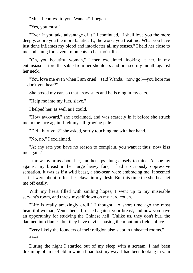"Must I confess to you, Wanda?" I began.

"Yes, you must."

"Even if you take advantage of it," I continued, "I shall love you the more deeply, adore you the more fanatically, the worse you treat me. What you have just done inflames my blood and intoxicates all my senses." I held her close to me and clung for several moments to her moist lips.

"Oh, you beautiful woman," I then exclaimed, looking at her. In my enthusiasm I tore the sable from her shoulders and pressed my mouth against her neck.

"You love me even when I am cruel," said Wanda, "now go!—you bore me —don't you hear?"

She boxed my ears so that I saw stars and bells rang in my ears.

"Help me into my furs, slave."

I helped her, as well as I could.

"How awkward," she exclaimed, and was scarcely in it before she struck me in the face again. I felt myself growing pale.

"Did I hurt you?" she asked, softly touching me with her hand.

"No, no," I exclaimed.

"At any rate you have no reason to complain, you want it thus; now kiss me again."

I threw my arms about her, and her lips clung closely to mine. As she lay against my breast in her large heavy furs, I had a curiously oppressive sensation. It was as if a wild beast, a she-bear, were embracing me. It seemed as if I were about to feel her claws in my flesh. But this time the she-bear let me off easily.

With my heart filled with smiling hopes, I went up to my miserable servant's room, and threw myself down on my hard couch.

"Life is really amazingly droll," I thought. "A short time ago the most beautiful woman, Venus herself, rested against your breast, and now you have an opportunity for studying the Chinese hell. Unlike us, they don't hurl the damned into flames, but they have devils chasing them out into fields of ice.

"Very likely the founders of their religion also slept in unheated rooms."

\*\*\*\*

During the night I startled out of my sleep with a scream. I had been dreaming of an icefield in which I had lost my way; I had been looking in vain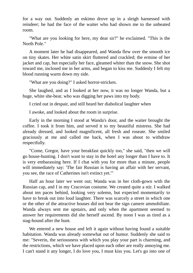for a way out. Suddenly an eskimo drove up in a sleigh harnessed with reindeer; he had the face of the waiter who had shown me to the unheated room.

"What are you looking for here, my dear sir?" he exclaimed. "This is the North Pole."

A moment later he had disappeared, and Wanda flew over the smooth ice on tiny skates. Her white satin skirt fluttered and crackled; the ermine of her jacket and cap, but especially her face, gleamed whiter than the snow. She shot toward me, inclosed me in her arms, and began to kiss me. Suddenly I felt my blood running warm down my side.

"What are you doing?" I asked horror-stricken.

She laughed, and as I looked at her now, it was no longer Wanda, but a huge, white she-bear, who was digging her paws into my body.

I cried out in despair, and still heard her diabolical laughter when

I awoke, and looked about the room in surprise.

Early in the morning I stood at Wanda's door, and the waiter brought the coffee. I took it from him, and served it to my beautiful mistress. She had already dressed, and looked magnificent, all fresh and roseate. She smiled graciously at me and called me back, when I was about to withdraw respectfully.

"Come, Gregor, have your breakfast quickly too," she said, "then we will go house-hunting. I don't want to stay in the hotel any longer than I have to. It is very embarassing here. If I chat with you for more than a minute, people will immediately say: 'The fair Russian is having an affair with her servant, you see, the race of Catherines isn't extinct yet.'"

Half an hour later we went out; Wanda was in her cloth-gown with the Russian cap, and I in my Cracovian costume. We created quite a stir. I walked about ten paces behind, looking very solemn, but expected momentarily to have to break out into loud laughter. There was scarcely a street in which one or the other of the attractive houses did not bear the sign camere ammobiliate. Wanda always sent me upstairs, and only when the apartment seemed to answer her requirements did she herself ascend. By noon I was as tired as a stag-hound after the hunt.

We entered a new house and left it again without having found a suitable habitation. Wanda was already somewhat out of humor. Suddenly she said to me: "Severin, the seriousness with which you play your part is charming, and the restrictions, which we have placed upon each other are really annoying me. I can't stand it any longer, I do love you, I must kiss you. Let's go into one of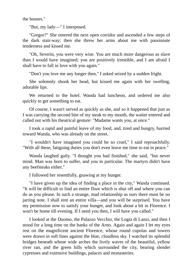the houses."

"But, my lady—" I interposed.

"Gregor?" She entered the next open corridor and ascended a few steps of the dark stair-way; then she threw her arms about me with passionate tenderness and kissed me.

"Oh, Severin, you were very wise. You are much more dangerous as slave than I would have imagined; you are positively irrestible, and I am afraid I shall have to fall in love with you again."

"Don't you love me any longer then," I asked seized by a sudden fright.

She solemnly shook her head, but kissed me again with her swelling, adorable lips.

We returned to the hotel. Wanda had luncheon, and ordered me also quickly to get something to eat.

Of course, I wasn't served as quickly as she, and so it happened that just as I was carrying the second bite of my steak to my mouth, the waiter entered and called out with his theatrical gesture: "Madame wants you, at once."

I took a rapid and painful leave of my food, and, tired and hungry, hurried toward Wanda, who was already on the street.

"I wouldn't have imagined you could be so cruel," I said reproachfully. "With all these, fatiguing duties you don't even leave me time to eat in peace."

Wanda laughed gaily. "I thought you had finished," she said, "but never mind. Man was born to suffer, and you in particular. The martyrs didn't have any beefsteaks either."

I followed her resentfully, gnawing at my hunger.

"I have given up the idea of finding a place in the city," Wanda continued. "It will be difficult to find an entire floor which is shut off and where you can do as you please. In such a strange, mad relationship as ours there must be no jarring note. I shall rent an entire villa—and you will be surprised. You have my permission now to satisfy your hunger, and look about a bit in Florence. I won't be home till evening. If I need you then, I will have you called."

I looked at the Duomo, the Palazzo Vecchio, the Logia di Lanzi, and then I stood for a long time on the banks of the Arno. Again and again I let my eyes rest on the magnificent ancient Florence, whose round cupolas and towers were drawn in soft lines against the blue, cloudless sky. I watched its splendid bridges beneath whose wide arches the lively waves of the beautiful, yellow river ran, and the green hills which surrounded the city, bearing slender cypresses and extensive buildings, palaces and monasteries.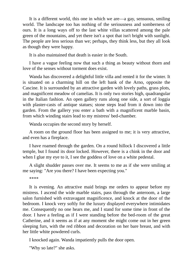It is a different world, this one in which we are—a gay, sensuous, smiling world. The landscape too has nothing of the seriousness and somberness of ours. It is a long ways off to the last white villas scattered among the pale green of the mountains, and yet there isn't a spot that isn't bright with sunlight. The people are less serious than we; perhaps, they think less, but they all look as though they were happy.

It is also maintained that death is easier in the South.

I have a vague feeling now that such a thing as beauty without thorn and love of the senses without torment does exist.

Wanda has discovered a delightful little villa and rented it for the winter. It is situated on a charming hill on the left bank of the Arno, opposite the Cascine. It is surrounded by an attractive garden with lovely paths, grass plots, and magnificent meadow of camelias. It is only two stories high, quadrangular in the Italian fashion. An open gallery runs along one side, a sort of loggia with plaster-casts of antique statues; stone steps lead from it down into the garden. From the gallery you enter a bath with a magnificent marble basin, from which winding stairs lead to my mistress' bed-chamber.

Wanda occupies the second story by herself.

A room on the ground floor has been assigned to me; it is very attractive, and even has a fireplace.

I have roamed through the garden. On a round hillock I discovered a little temple, but I found its door locked. However, there is a chink in the door and when I glue my eye to it, I see the goddess of love on a white pedestal.

A slight shudder passes over me. It seems to me as if she were smiling at me saying: "Are you there? I have been expecting you."

\*\*\*\*

It is evening. An attractive maid brings me orders to appear before my mistress. I ascend the wide marble stairs, pass through the anteroom, a large salon furnished with extravagant magnificence, and knock at the door of the bedroom. I knock very softly for the luxury displayed everywhere intimidates me. Consequently no one hears me, and I stand for some time in front of the door. I have a feeling as if I were standing before the bed-room of the great Catherine, and it seems as if at any moment she might come out in her green sleeping furs, with the red ribbon and decoration on her bare breast, and with her little white powdered curls.

I knocked again. Wanda impatiently pulls the door open.

"Why so late?" she asks.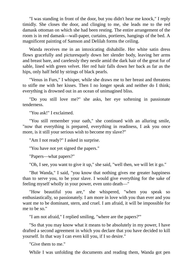"I was standing in front of the door, but you didn't hear me knock," I reply timidly. She closes the door, and clinging to me, she leads me to the red damask ottoman on which she had been resting. The entire arrangement of the room is in red damask—wall-paper, curtains, portieres, hangings of the bed. A magnificent painting of Samson and Delilah forms the ceiling.

Wanda receives me in an intoxicating dishabille. Her white satin dress flows gracefully and picturesquely down her slender body, leaving her arms and breast bare, and carelessly they nestle amid the dark hair of the great fur of sable, lined with green velvet. Her red hair falls down her back as far as the hips, only half held by strings of black pearls.

"Venus in Furs," I whisper, while she draws me to her breast and threatens to stifle me with her kisses. Then I no longer speak and neither do I think; everything is drowned out in an ocean of unimagined bliss.

"Do you still love me?" she asks, her eye softening in passionate tenderness.

"You ask!" I exclaimed.

"You still remember your oath," she continued with an alluring smile, "now that everything is prepared, everything in readiness, I ask you once more, is it still your serious wish to become my slave?"

"Am I not ready?" I asked in surprise.

"You have not yet signed the papers."

"Papers—what papers?"

"Oh, I see, you want to give it up," she said, "well then, we will let it go."

"But Wanda," I said, "you know that nothing gives me greater happiness than to serve you, to be your slave. I would give everything for the sake of feeling myself wholly in your power, even unto death—"

"How beautiful you are," she whispered, "when you speak so enthusiastically, so passionately. I am more in love with you than ever and you want me to be dominant, stern, and cruel. I am afraid, it will be impossible for me to be so."

"I am not afraid," I replied smiling, "where are the papers?'"

"So that you may know what it means to be absolutely in my power, I have drafted a second agreement in which you declare that you have decided to kill yourself. In that way I can even kill you, if I so desire."

"Give them to me."

While I was unfolding the documents and reading them, Wanda got pen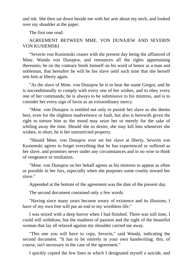and ink. She then sat down beside me with her arm about my neck, and looked over my shoulder at the paper.

The first one read:

## AGREEMENT BETWEEN MME. VON DUNAJEW AND SEVERIN VON KUSIEMSKI

"Severin von Kusiemski ceases with the present day being the affianced of Mme. Wanda von Dunajew, and renounces all the rights appertaining thereunto; he on the contrary binds himself on his word of honor as a man and nobleman, that hereafter he will be her slave until such time that she herself sets him at liberty again.

"As the slave of Mme. von Dunajew he is to bear the name Gregor, and he is unconditionally to comply with every one of her wishes, and to obey every one of her commands; he is always to be submissive to his mistress, and is to consider her every sign of favor as an extraordinary mercy.

"Mme. von Dunajew is entitled not only to punish her slave as she deems best, even for the slightest inadvertence or fault, but also is herewith given the right to torture him as the mood may seize her or merely for the sake of whiling away the time. Should she so desire, she may kill him whenever she wishes; in short, he is her unrestricted property.

"Should Mme. von Dunajew ever set her slave at liberty, Severin von Kusiemski agrees to forget everything that he has experienced or suffered as her slave, and promises never under any circumstances and in no wise to think of vengeance or retaliation.

"Mme. von Dunajew on her behalf agrees as his mistress to appear as often as possible in her furs, especially when she purposes some cruelty toward her slave."

Appended at the bottom of the agreement was the date of the present day.

The second document contained only a few words.

"Having since many years become weary of existence and its illusions, I have of my own free will put an end to my worthless life."

I was seized with a deep horror when I had finished. There was still time, I could still withdraw, but the madness of passion and the sight of the beautiful woman that lay all relaxed against my shoulder carried me away.

"This one you will have to copy, Severin," said Wanda, indicating the second document. "It has to be entirely in your own handwriting; this, of course, isn't necessary in the case of the agreement."

I quickly copied the few lines in which I designated myself a suicide, and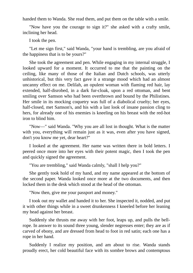handed them to Wanda. She read them, and put them on the table with a smile.

"Now have you the courage to sign it?" she asked with a crafty smile, inclining her head.

I took the pen.

"Let me sign first," said Wanda, "your hand is trembling, are you afraid of the happiness that is to be yours?"

She took the agreement and pen. While engaging in my internal struggle, I looked upward for a moment. It occurred to me that the painting on the ceiling, like many of those of the Italian and Dutch schools, was utterly unhistorical, but this very fact gave it a strange mood which had an almost uncanny effect on me. Delilah, an opulent woman with flaming red hair, lay extended, half-disrobed, in a dark fur-cloak, upon a red ottoman, and bent smiling over Samson who had been overthrown and bound by the Philistines. Her smile in its mocking coquetry was full of a diabolical cruelty; her eyes, half-closed, met Samson's, and his with a last look of insane passion cling to hers, for already one of his enemies is kneeling on his breast with the red-hot iron to blind him.

"Now—" said Wanda. "Why you are all lost in thought. What is the matter with you, everything will remain just as it was, even after you have signed, don't you know me yet, dear heart?"

I looked at the agreement. Her name was written there in bold letters. I peered once more into her eyes with their potent magic, then I took the pen and quickly signed the agreement.

"You are trembling," said Wanda calmly, "shall I help you?"

She gently took hold of my hand, and my name appeared at the bottom of the second paper. Wanda looked once more at the two documents, and then locked them in the desk which stood at the head of the ottoman.

"Now then, give me your passport and money."

I took out my wallet and handed it to her. She inspected it, nodded, and put it with other things while in a sweet drunkenness I kneeled before her leaning my head against her breast.

Suddenly she thrusts me away with her foot, leaps up, and pulls the bellrope. In answer to its sound three young, slender negresses enter; they are as if carved of ebony, and are dressed from head to foot in red satin; each one has a rope in her hand.

Suddenly I realize my position, and am about to rise. Wanda stands proudly erect, her cold beautiful face with its sombre brows and contemptous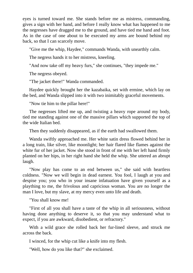eyes is turned toward me. She stands before me as mistress, commanding, gives a sign with her hand, and before I really know what has happened to me the negresses have dragged me to the ground, and have tied me hand and foot. As in the case of one about to be executed my arms are bound behind my back, so that I can scarcely move.

"Give me the whip, Haydee," commands Wanda, with unearthly calm.

The negress hands it to her mistress, kneeling.

"And now take off my heavy furs," she continues, "they impede me."

The negress obeyed.

"The jacket there!" Wanda commanded.

Haydee quickly brought her the kazabaika, set with ermine, which lay on the bed, and Wanda slipped into it with two inimitably graceful movements.

"Now tie him to the pillar here!"

The negresses lifted me up, and twisting a heavy rope around my body, tied me standing against one of the massive pillars which supported the top of the wide Italian bed.

Then they suddenly disappeared, as if the earth had swallowed them.

Wanda swiftly approached me. Her white satin dress flowed behind her in a long train, like silver, like moonlight; her hair flared like flames against the white fur of her jacket. Now she stood in front of me with her left hand firmly planted on her hips, in her right hand she held the whip. She uttered an abrupt laugh.

"Now play has come to an end between us," she said with heartless coldness. "Now we will begin in dead earnest. You fool, I laugh at you and despise you; you who in your insane infatuation have given yourself as a plaything to me, the frivolous and capricious woman. You are no longer the man I love, but my slave, at my mercy even unto life and death.

"You shall know me!

"First of all you shall have a taste of the whip in all seriousness, without having done anything to deserve it, so that you may understand what to expect, if you are awkward, disobedient, or refractory."

With a wild grace she rolled back her fur-lined sleeve, and struck me across the back.

I winced, for the whip cut like a knife into my flesh.

"Well, how do you like that?" she exclaimed.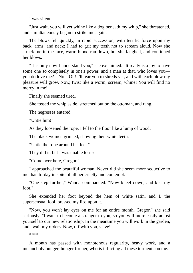I was silent.

"Just wait, you will yet whine like a dog beneath my whip," she threatened, and simultaneously began to strike me again.

The blows fell quickly, in rapid succession, with terrific force upon my back, arms, and neck; I had to grit my teeth not to scream aloud. Now she struck me in the face, warm blood ran down, but she laughed, and continued her blows.

"It is only now I understand you," she exclaimed. "It really is a joy to have some one so completely in one's power, and a man at that, who loves you you do love me?—No—Oh! I'll tear you to shreds yet, and with each blow my pleasure will grow. Now, twist like a worm, scream, whine! You will find no mercy in me!"

Finally she seemed tired.

She tossed the whip aside, stretched out on the ottoman, and rang.

The negresses entered.

"Untie him!"

As they loosened the rope, I fell to the floor like a lump of wood.

The black women grinned, showing their white teeth.

"Untie the rope around his feet."

They did it, but I was unable to rise.

"Come over here, Gregor."

I approached the beautiful woman. Never did she seem more seductive to me than to-day in spite of all her cruelty and contempt.

"One step further," Wanda commanded. "Now kneel down, and kiss my foot."

She extended her foot beyond the hem of white satin, and I, the supersensual fool, pressed my lips upon it.

"Now, you won't lay eyes on me for an entire month, Gregor," she said seriously. "I want to become a stranger to you, so you will more easily adjust yourself to our new relationship. In the meantime you will work in the garden, and await my orders. Now, off with you, slave!"

\*\*\*\*

A month has passed with monotonous regularity, heavy work, and a melancholy hunger, hunger for her, who is inflicting all these torments on me.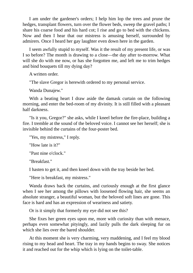I am under the gardener's orders; I help him lop the trees and prune the hedges, transplant flowers, turn over the flower beds, sweep the gravel paths; I share his coarse food and his hard cot; I rise and go to bed with the chickens. Now and then I hear that our mistress is amusing herself, surrounded by admirers. Once I heard her gay laughter even down here in the garden.

I seem awfully stupid to myself. Was it the result of my present life, or was I so before? The month is drawing to a close—the day after to-morrow. What will she do with me now, or has she forgotten me, and left me to trim hedges and bind bouquets till my dying day?

A written order.

"The slave Gregor is herewith ordered to my personal service.

Wanda Dunajew."

With a beating heart I draw aside the damask curtain on the following morning, and enter the bed-room of my divinity. It is still filled with a pleasant half darkness.

"Is it you, Gregor?" she asks, while I kneel before the fire-place, building a fire. I tremble at the sound of the beloved voice. I cannot see her herself; she is invisible behind the curtains of the four-poster bed.

"Yes, my mistress," I reply.

"How late is it?"

"Past nine o'clock."

"Breakfast."

I hasten to get it, and then kneel down with the tray beside her bed.

"Here is breakfast, my mistress."

Wanda draws back the curtains, and curiously enough at the first glance when I see her among the pillows with loosened flowing hair, she seems an absolute stranger, a beautiful woman, but the beloved soft lines are gone. This face is hard and has an expression of weariness and satiety.

Or is it simply that formerly my eye did not see this?

She fixes her green eyes upon me, more with curiosity than with menace, perhaps even somewhat pityingly, and lazily pulls the dark sleeping fur on which she lies over the bared shoulder.

At this moment she is very charming, very maddening, and I feel my blood rising to my head and heart. The tray in my hands begins to sway. She notices it and reached out for the whip which is lying on the toilet-table.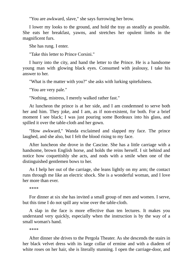"You are awkward, slave," she says furrowing her brow.

I lower my looks to the ground, and hold the tray as steadily as possible. She eats her breakfast, yawns, and stretches her opulent limbs in the magnificent furs.

She has rung. I enter.

"Take this letter to Prince Corsini."

I hurry into the city, and hand the letter to the Prince. He is a handsome young man with glowing black eyes. Consumed with jealousy, I take his answer to her.

"What is the matter with you?" she asks with lurking spitefulness.

"You are very pale."

"Nothing, mistress, I merely walked rather fast."

At luncheon the prince is at her side, and I am condemned to serve both her and him. They joke, and I am, as if non-existent, for both. For a brief moment I see black; I was just pouring some Bordeaux into his glass, and spilled it over the table-cloth and her gown.

"How awkward," Wanda exclaimed and slapped my face. The prince laughed, and she also, but I felt the blood rising to my face.

After luncheon she drove in the Cascine. She has a little carriage with a handsome, brown English horse, and holds the reins herself. I sit behind and notice how coquettishly she acts, and nods with a smile when one of the distinguished gentlemen bows to her.

As I help her out of the carriage, she leans lightly on my arm; the contact runs through me like an electric shock. She is a wonderful woman, and I love her more than ever.

\*\*\*\*

For dinner at six she has invited a small group of men and women. I serve, but this time I do not spill any wine over the table-cloth.

A slap in the face is more effective than ten lectures. It makes you understand very quickly, especially when the instruction is by the way of a small woman's hand.

\*\*\*\*

After dinner she drives to the Pergola Theater. As she descends the stairs in her black velvet dress with its large collar of ermine and with a diadem of white roses on her hair, she is literally stunning. I open the carriage-door, and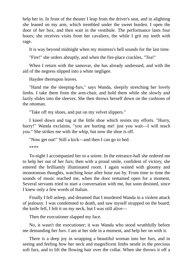help her in. In front of the theater I leap from the driver's seat, and in alighting she leaned on my arm, which trembled under the sweet burden. I open the door of her box, and then wait in the vestibule. The performance lasts four hours; she receives visits from her cavaliers, the while I grit my teeth with rage.

It is way beyond midnight when my mistress's bell sounds for the last time.

"Fire!" she orders abruptly, and when the fire-place crackles, "Tea!"

When I return with the samovar, she has already undressed, and with the aid of the negress slipped into a white negligee.

Haydee thereupon leaves.

"Hand me the sleeping-furs," says Wanda, sleepily stretching her lovely limbs. I take them from the arm-chair, and hold them while she slowly and lazily slides into the sleeves. She then throws herself down on the cushions of the ottoman.

"Take off my shoes, and put on my velvet slippers."

I kneel down and tug at the little shoe which resists my efforts. "Hurry, hurry!" Wanda exclaims, "you are hurting me! just you wait—I will teach you." She strikes me with the whip, but now the shoe is off.

"Now get out!" Still a kick—and then I can go to bed.

\*\*\*\*

To-night I accompanied her to a soiree. In the entrance-hall she ordered me to help her out of her furs; then with a proud smile, confident of victory, she entered the brilliantly illuminated room. I again waited with gloomy and monotonous thoughts, watching hour after hour run by. From time to time the sounds of music reached me, when the door remained open for a moment. Several servants tried to start a conversation with me, but soon desisted, since I knew only a few words of Italian.

Finally I fell asleep, and dreamed that I murdered Wanda in a violent attack of jealousy. I was condemned to death, and saw myself strapped on the board; the knife fell, I felt it on my neck, but I was still alive—

Then the executioner slapped my face.

No, it wasn't the executioner; it was Wanda who stood wrathfully before me demanding her furs. I am at her side in a moment, and help her on with it.

There is a deep joy in wrapping a beautiful woman into her furs, and in seeing and feeling how her neck and magnificent limbs nestle in the precious soft furs, and to lift the flowing hair over the collar. When she throws it off a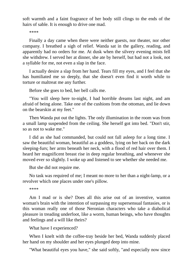soft warmth and a faint fragrance of her body still clings to the ends of the hairs of sable. It is enough to drive one mad.

\*\*\*\*

Finally a day came when there were neither guests, nor theater, nor other company. I breathed a sigh of relief. Wanda sat in the gallery, reading, and apparently had no orders for me. At dusk when the silvery evening mists fell she withdrew. I served her at dinner, she ate by herself, but had not a look, not a syllable for me, not even a slap in the face.

I actually desire a slap from her hand. Tears fill my eyes, and I feel that she has humiliated me so deeply, that she doesn't even find it worth while to torture or maltreat me any further.

Before she goes to bed, her bell calls me.

"You will sleep here to-night, I had horrible dreams last night, and am afraid of being alone. Take one of the cushions from the ottoman, and lie down on the bearskin at my feet."

Then Wanda put out the lights. The only illumination in the room was from a small lamp suspended from the ceiling. She herself got into bed. "Don't stir, so as not to wake me."

I did as she had commanded, but could not fall asleep for a long time. I saw the beautiful woman, beautiful as a goddess, lying on her back on the dark sleeping-furs; her arms beneath her neck, with a flood of red hair over them. I heard her magnificent breast rise in deep regular breathing, and whenever she moved ever so slightly. I woke up and listened to see whether she needed me.

But she did not require me.

No task was required of me; I meant no more to her than a night-lamp, or a revolver which one places under one's pillow.

\*\*\*\*

Am I mad or is she? Does all this arise out of an inventive, wanton woman's brain with the intention of surpassing my supersensual fantasies, or is this woman really one of those Neronian characters who take a diabolical pleasure in treading underfoot, like a worm, human beings, who have thoughts and feelings and a will like theirs?

What have I experienced?

When I knelt with the coffee-tray beside her bed, Wanda suddenly placed her hand on my shoulder and her eyes plunged deep into mine.

"What beautiful eyes you have," she said softly, "and especially now since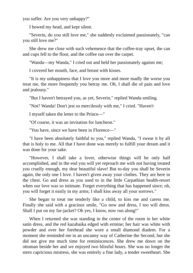you suffer. Are you very unhappy?"

I bowed my head, and kept silent.

"Severin, do you still love me," she suddenly exclaimed passionately, "can you still love me?"

She drew me close with such vehemence that the coffee-tray upset, the can and cups fell to the floor, and the coffee ran over the carpet.

"Wanda—my Wanda," I cried out and held her passionately against me;

I covered her mouth, face, and breast with kisses.

"It is my unhappiness that I love you more and more madly the worse you treat me, the more frequently you betray me. Oh, I shall die of pain and love and jealousy."

"But I haven't betrayed you, as yet, Severin," replied Wanda smiling.

"Not? Wanda! Don't jest so mercilessly with me," I cried. "Haven't

I myself taken the letter to the Prince—"

"Of course, it was an invitation for luncheon."

"You have, since we have been in Florence—"

"I have been absolutely faithful to you," replied Wanda, "I swear it by all that is holy to me. All that I have done was merely to fulfill your dream and it was done for your sake.

"However, I shall take a lover, otherwise things will be only half accomplished, and in the end you will yet reproach me with not having treated you cruelly enough, my dear beautiful slave! But to-day you shall be Severin again, the only one I love. I haven't given away your clothes. They are here in the chest. Go and dress as you used to in the little Carpathian health-resort when our love was so intimate. Forget everything that has happened since; oh, you will forget it easily in my arms; I shall kiss away all your sorrows."

She began to treat me tenderly like a child, to kiss me and caress me. Finally she said with a gracious smile, "Go now and dress, I too will dress. Shall I put on my fur-jacket? Oh yes, I know, now run along!"

When I returned she was standing in the center of the room in her white satin dress, and the red kazabaika edged with ermine; her hair was white with powder and over her forehead she wore a small diamond diadem. For a moment she reminded me in an uncanny way of Catherine the Second, but she did not give me much time for reminiscences. She drew me down on the ottoman beside her and we enjoyed two blissful hours. She was no longer the stern capricious mistress, she was entirely a fine lady, a tender sweetheart. She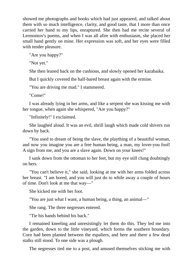showed me photographs and books which had just appeared, and talked about them with so much intelligence, clarity, and good taste, that I more than once carried her hand to my lips, enraptured. She then had me recite several of Lermontov's poems, and when I was all afire with enthusiasm, she placed her small hand gently on mine. Her expression was soft, and her eyes were filled with tender pleasure.

"Are you happy?"

"Not yet."

She then leaned back on the cushions, and slowly opened her kazabaika.

But I quickly covered the half-bared breast again with the ermine.

"You are driving me mad." I stammered.

"Come!"

I was already lying in her arms, and like a serpent she was kissing me with her tongue, when again she whispered, "Are you happy?"

"Infinitely!" I exclaimed.

She laughed aloud. It was an evil, shrill laugh which made cold shivers run down by back.

"You used to dream of being the slave, the plaything of a beautiful woman, and now you imagine you are a free human being, a man, my lover-you fool! A sign from me, and you are a slave again. Down on your knees!"

I sank down from the ottoman to her feet, but my eye still clung doubtingly on hers.

"You can't believe it," she said, looking at me with her arms folded across her breast. "I am bored, and you will just do to while away a couple of hours of time. Don't look at me that way—"

She kicked me with her foot.

"You are just what I want, a human being, a thing, an animal—"

She rang. The three negresses entered.

"Tie his hands behind his back."

I remained kneeling and unresistingly let them do this. They led me into the garden, down to the little vineyard, which forms the southern boundary. Corn had been planted between the espaliers, and here and there a few dead stalks still stood. To one side was a plough.

The negresses tied me to a post, and amused themselves sticking me with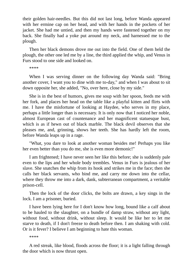their golden hair-needles. But this did not last long, before Wanda appeared with her ermine cap on her head, and with her hands in the pockets of her jacket. She had me untied, and then my hands were fastened together on my back. She finally had a yoke put around my neck, and harnessed me to the plough.

Then her black demons drove me out into the field. One of them held the plough, the other one led me by a line, the third applied the whip, and Venus in Furs stood to one side and looked on.

\*\*\*\*

When I was serving dinner on the following day Wanda said: "Bring another cover, I want you to dine with me to-day," and when I was about to sit down opposite her, she added, "No, over here, close by my side."

She is in the best of humors, gives me soup with her spoon, feeds me with her fork, and places her head on the table like a playful kitten and flirts with me. I have the misfortune of looking at Haydee, who serves in my place, perhaps a little longer than is necessary. It is only now that I noticed her noble, almost European cast of countenance and her magnificent statuesque bust, which is as if hewn out of black marble. The black devil observes that she pleases me, and, grinning, shows her teeth. She has hardly left the room, before Wanda leaps up in a rage.

"What, you dare to look at another woman besides me! Perhaps you like her even better than you do me, she is even more demonic!"

I am frightened; I have never seen her like this before; she is suddenly pale even to the lips and her whole body trembles. Venus in Furs is jealous of her slave. She snatches the whip from its hook and strikes me in the face; then she calls her black servants, who bind me, and carry me down into the cellar, where they throw me into a dark, dank, subterranean compartment, a veritable prison-cell.

Then the lock of the door clicks, the bolts are drawn, a key sings in the lock. I am a prisoner, buried.

I have been lying here for I don't know how long, bound like a calf about to be hauled to the slaughter, on a bundle of damp straw, without any light, without food, without drink, without sleep. It would be like her to let me starve to death, if I don't freeze to death before then. I am shaking with cold. Or is it fever? I believe I am beginning to hate this woman.

\*\*\*\*

A red streak, like blood, floods across the floor; it is a light falling through the door which is now thrust open.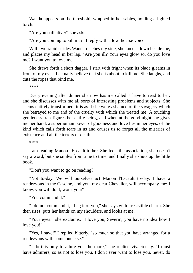Wanda appears on the threshold, wrapped in her sables, holding a lighted torch.

"Are you still alive?" she asks.

"Are you coming to kill me?" I reply with a low, hoarse voice.

With two rapid strides Wanda reaches my side, she kneels down beside me, and places my head in her lap. "Are you ill? Your eyes glow so, do you love me? I want you to love me."

She draws forth a short dagger. I start with fright when its blade gleams in front of my eyes. I actually believe that she is about to kill me. She laughs, and cuts the ropes that bind me.

\*\*\*\*

Every evening after dinner she now has me called. I have to read to her, and she discusses with me all sorts of interesting problems and subjects. She seems entirely transformed; it is as if she were ashamed of the savagery which she betrayed to me and of the cruelty with which she treated me. A touching gentleness transfigures her entire being, and when at the good-night she gives me her hand, a superhuman power of goodness and love lies in her eyes, of the kind which calls forth tears in us and causes us to forget all the miseries of existence and all the terrors of death.

\*\*\*\*

I am reading Manon l'Escault to her. She feels the association, she doesn't say a word, but she smiles from time to time, and finally she shuts up the little book.

"Don't you want to go on reading?"

"Not to-day. We will ourselves act Manon l'Escault to-day. I have a rendezvous in the Cascine, and you, my dear Chevalier, will accompany me; I know, you will do it, won't you?"

"You command it."

"I do not command it, I beg it of you," she says with irresistible charm. She then rises, puts her hands on my shoulders, and looks at me.

"Your eyes!" she exclaims. "I love you, Severin, you have no idea how I love you!"

"Yes, I have!" I replied bitterly, "so much so that you have arranged for a rendezvous with some one else."

"I do this only to allure you the more," she replied vivaciously. "I must have admirers, so as not to lose you. I don't ever want to lose you, never, do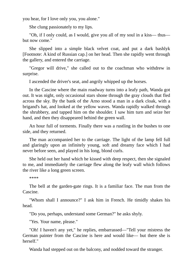you hear, for I love only you, you alone."

She clung passionately to my lips.

"Oh, if I only could, as I would, give you all of my soul in a kiss— thus but now come."

She slipped into a simple black velvet coat, and put a dark bashlyk [Footnote: A kind of Russian cap.] on her head. Then she rapidly went through the gallery, and entered the carriage.

"Gregor will drive," she called out to the coachman who withdrew in surprise.

I ascended the driver's seat, and angrily whipped up the horses.

In the Cascine where the main roadway turns into a leafy path, Wanda got out. It was night, only occasional stars shone through the gray clouds that fled across the sky. By the bank of the Arno stood a man in a dark cloak, with a brigand's hat, and looked at the yellow waves. Wanda rapidly walked through the shrubbery, and tapped him on the shoulder. I saw him turn and seize her hand, and then they disappeared behind the green wall.

An hour full of torments. Finally there was a rustling in the bushes to one side, and they returned.

The man accompanied her to the carriage. The light of the lamp fell full and glaringly upon an infinitely young, soft and dreamy face which I had never before seen, and played in his long, blond curls.

She held out her hand which he kissed with deep respect, then she signaled to me, and immediately the carriage flew along the leafy wall which follows the river like a long green screen.

\*\*\*\*

The bell at the garden-gate rings. It is a familiar face. The man from the Cascine.

"Whom shall I announce?" I ask him in French. He timidly shakes his head.

"Do you, perhaps, understand some German?" he asks shyly.

"Yes. Your name, please."

"Oh! I haven't any yet," he replies, embarrassed—"Tell your mistress the German painter from the Cascine is here and would like— but there she is herself."

Wanda had stepped out on the balcony, and nodded toward the stranger.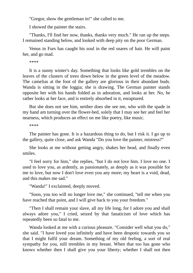"Gregor, show the gentleman in!" she called to me.

I showed the painter the stairs.

"Thanks, I'll find her now, thanks, thanks very much." He ran up the steps. I remained standing below, and looked with deep pity on the poor German.

Venus in Furs has caught his soul in the red snares of hair. He will paint her, and go mad.

\*\*\*\*

It is a sunny winter's day. Something that looks like gold trembles on the leaves of the clusters of trees down below in the green level of the meadow. The camelias at the foot of the gallery are glorious in their abundant buds. Wanda is sitting in the loggia; she is drawing. The German painter stands opposite her with his hands folded as in adoration, and looks at her. No, he rather looks at her face, and is entirely absorbed in it, enraptured.

But she does not see him, neither does she see me, who with the spade in my hand am turning over the flower-bed, solely that I may see her and feel her nearness, which produces an effect on me like poetry, like music.

\*\*\*\*

The painter has gone. It is a hazardous thing to do, but I risk it. I go up to the gallery, quite close, and ask Wanda "Do you love the painter, mistress?"

She looks at me without getting angry, shakes her head, and finally even smiles.

"I feel sorry for him," she replies, "but I do not love him. I love no one. I used to love you, as ardently, as passionately, as deeply as it was possible for me to love, but now I don't love even you any more; my heart is a void, dead, and this makes me sad."

"Wanda!" I exclaimed, deeply moved.

"Soon, you too will no longer love me," she continued, "tell me when you have reached that point, and I will give back to you your freedom."

"Then I shall remain your slave, all my life long, for I adore you and shall always adore you," I cried, seized by that fanaticism of love which has repeatedly been so fatal to me.

Wanda looked at me with a curious pleasure. "Consider well what you do," she said. "I have loved you infinitely and have been despotic towards you so that I might fulfil your dream. Something of my old feeling, a sort of real sympathy for you, still trembles in my breast. When that too has gone who knows whether then I shall give you your liberty; whether I shall not then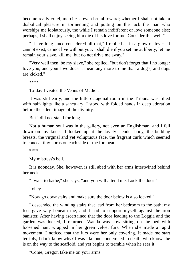become really cruel, merciless, even brutal toward; whether I shall not take a diabolical pleasure in tormenting and putting on the rack the man who worships me idolatrously, the while I remain indifferent or love someone else; perhaps, I shall enjoy seeing him die of his love for me. Consider this well."

"I have long since considered all that," I replied as in a glow of fever. "I cannot exist, cannot live without you; I shall die if you set me at liberty; let me remain your slave, kill me, but do not drive me away."

"Very well then, be my slave," she replied, "but don't forget that I no longer love you, and your love doesn't mean any more to me than a dog's, and dogs are kicked."

\*\*\*\*

To-day I visited the Venus of Medici.

It was still early, and the little octagonal room in the Tribuna was filled with half-lights like a sanctuary; I stood with folded hands in deep adoration before the silent image of the divinity.

But I did not stand for long.

Not a human soul was in the gallery, not even an Englishman, and I fell down on my knees. I looked up at the lovely slender body, the budding breasts, the virginal and yet voluptuous face, the fragrant curls which seemed to conceal tiny horns on each side of the forehead.

\*\*\*\*

My mistress's bell.

It is noonday. She, however, is still abed with her arms intertwined behind her neck.

"I want to bathe," she says, "and you will attend me. Lock the door!"

I obey.

"Now go downstairs and make sure the door below is also locked."

I descended the winding stairs that lead from her bedroom to the bath; my feet gave way beneath me, and I had to support myself against the iron banister. After having ascertained that the door leading to the Loggia and the garden was locked, I returned. Wanda was now sitting on the bed with loosened hair, wrapped in her green velvet furs. When she made a rapid movement, I noticed that the furs were her only covering. It made me start terribly, I don't know why? I was like one condemned to death, who knows he is on the way to the scaffold, and yet begins to tremble when he sees it.

"Come, Gregor, take me on your arms."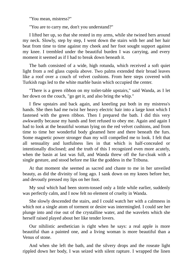"You mean, mistress?"

"You are to carry me, don't you understand?"

I lifted her up, so that she rested in my arms, while she twined hers around my neck. Slowly, step by step, I went down the stairs with her and her hair beat from time to time against my cheek and her foot sought support against my knee. I trembled under the beautiful burden I was carrying, and every moment it seemed as if I had to break down beneath it.

The bath consisted of a wide, high rotunda, which received a soft quiet light from a red glass cupola above. Two palms extended their broad leaves like a roof over a couch of velvet cushions. From here steps covered with Turkish rugs led to the white marble basin which occupied the center.

"There is a green ribbon on my toilet-table upstairs," said Wanda, as I let her down on the couch, "go get it, and also bring the whip."

I flew upstairs and back again, and kneeling put both in my mistress's hands. She then had me twist her heavy electric hair into a large knot which I fastened with the green ribbon. Then I prepared the bath. I did this very awkwardly because my hands and feet refused to obey me. Again and again I had to look at the beautiful woman lying on the red velvet cushions, and from time to time her wonderful body gleamed here and there beneath the furs. Some magnetic power stronger than my will compelled me to look. I felt that all sensuality and lustfulness lies in that which is half-concealed or intentionally disclosed; and the truth of this I recognized even more acutely, when the basin at last was full, and Wanda threw off the fur-cloak with a single gesture, and stood before me like the goddess in the Tribuna.

At that moment she seemed as sacred and chaste to me in her unveiled beauty, as did the divinity of long ago. I sank down on my knees before her, and devoutly pressed my lips on her foot.

My soul which had been storm-tossed only a little while earlier, suddenly was perfectly calm, and I now felt no element of cruelty in Wanda.

She slowly descended the stairs, and I could watch her with a calmness in which not a single atom of torment or desire was intermingled. I could see her plunge into and rise out of the crystalline water, and the wavelets which she herself raised played about her like tender lovers.

Our nihilistic aesthetician is right when he says: a real apple is more beautiful than a painted one, and a living woman is more beautiful than a Venus of stone.

And when she left the bath, and the silvery drops and the roseate light rippled down her body, I was seized with silent rapture. I wrapped the linen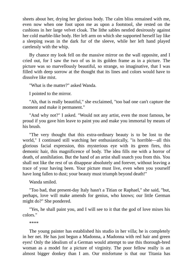sheets about her, drying her glorious body. The calm bliss remained with me, even now when one foot upon me as upon a footstool, she rested on the cushions in her large velvet cloak. The lithe sables nestled desirously against her cold marble-like body. Her left arm on which she supported herself lay like a sleeping swan in the dark fur of the sleeve, while her left hand played carelessly with the whip.

By chance my look fell on the massive mirror on the wall opposite, and I cried out, for I saw the two of us in its golden frame as in a picture. The picture was so marvellously beautiful, so strange, so imaginative, that I was filled with deep sorrow at the thought that its lines and colors would have to dissolve like mist.

"What is the matter?" asked Wanda.

I pointed to the mirror.

"Ah, that is really beautiful," she exclaimed, "too bad one can't capture the moment and make it permanent."

"And why not?" I asked. "Would not any artist, even the most famous, be proud if you gave him leave to paint you and make you immortal by means of his brush.

"The very thought that this extra-ordinary beauty is to be lost to the world," I continued still watching her enthusiastically, "is horrible—all this glorious facial expression, this mysterious eye with its green fires, this demonic hair, this magnificence of body. The idea fills me with a horror of death, of annihilation. But the hand of an artist shall snatch you from this. You shall not like the rest of us disappear absolutely and forever, without leaving a trace of your having been. Your picture must live, even when you yourself have long fallen to dust; your beauty must triumph beyond death!"

Wanda smiled.

"Too bad, that present-day Italy hasn't a Titian or Raphael," she said, "but, perhaps, love will make amends for genius, who knows; our little German might do?" She pondered.

"Yes, he shall paint you, and I will see to it that the god of love mixes his colors."

\*\*\*\*

The young painter has established his studio in her villa; he is completely in her net. He has just begun a Madonna, a Madonna with red hair and green eyes! Only the idealism of a German would attempt to use this thorough-bred woman as a model for a picture of virginity. The poor fellow really is an almost bigger donkey than I am. Our misfortune is that our Titania has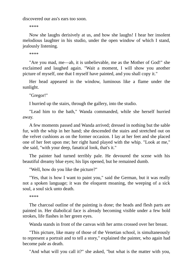discovered our ass's ears too soon.

\*\*\*\*

Now she laughs derisively at us, and how she laughs! I hear her insolent melodious laughter in his studio, under the open window of which I stand, jealously listening.

\*\*\*\*

"Are you mad, me—ah, it is unbelievable, me as the Mother of God!" she exclaimed and laughed again. "Wait a moment, I will show you another picture of myself, one that I myself have painted, and you shall copy it."

Her head appeared in the window, luminous like a flame under the sunlight.

"Gregor!"

I hurried up the stairs, through the gallery, into the studio.

"Lead him to the bath," Wanda commanded, while she herself hurried away.

A few moments passed and Wanda arrived; dressed in nothing but the sable fur, with the whip in her hand; she descended the stairs and stretched out on the velvet cushions as on the former occasion. I lay at her feet and she placed one of her feet upon me; her right hand played with the whip. "Look at me," she said, "with your deep, fanatical look, that's it."

The painter had turned terribly pale. He devoured the scene with his beautiful dreamy blue eyes; his lips opened, but he remained dumb.

"Well, how do you like the picture?"

"Yes, that is how I want to paint you," said the German, but it was really not a spoken language; it was the eloquent moaning, the weeping of a sick soul, a soul sick unto death.

\*\*\*\*

The charcoal outline of the painting is done; the heads and flesh parts are painted in. Her diabolical face is already becoming visible under a few bold strokes, life flashes in her green eyes.

Wanda stands in front of the canvas with her arms crossed over her breast.

"This picture, like many of those of the Venetian school, is simultaneously to represent a portrait and to tell a story," explained the painter, who again had become pale as death.

"And what will you call it?" she asked, "but what is the matter with you,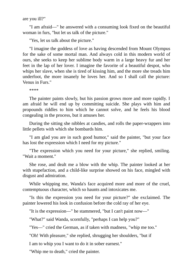are you ill?"

"I am afraid—" he answered with a consuming look fixed on the beautiful woman in furs, "but let us talk of the picture."

"Yes, let us talk about the picture."

"I imagine the goddess of love as having descended from Mount Olympus for the sake of some mortal man. And always cold in this modern world of ours, she seeks to keep her sublime body warm in a large heavy fur and her feet in the lap of her lover. I imagine the favorite of a beautiful despot, who whips her slave, when she is tired of kissing him, and the more she treads him underfoot, the more insanely he loves her. And so I shall call the picture: Venus in Furs."

\*\*\*\*

The painter paints slowly, but his passion grows more and more rapidly. I am afraid he will end up by committing suicide. She plays with him and propounds riddles to him which he cannot solve, and he feels his blood congealing in the process, but it amuses her.

During the sitting she nibbles at candies, and rolls the paper-wrappers into little pellets with which she bombards him.

"I am glad you are in such good humor," said the painter, "but your face has lost the expression which I need for my picture."

"The expression which you need for your picture," she replied, smiling. "Wait a moment."

She rose, and dealt me a blow with the whip. The painter looked at her with stupefaction, and a child-like surprise showed on his face, mingled with disgust and admiration.

While whipping me, Wanda's face acquired more and more of the cruel, contemptuous character, which so haunts and intoxicates me.

"Is this the expression you need for your picture?" she exclaimed. The painter lowered his look in confusion before the cold ray of her eye.

"It is the expression—" he stammered, "but I can't paint now—"

"What?" said Wanda, scornfully, "perhaps I can help you?"

"Yes—" cried the German, as if taken with madness, "whip me too."

"Oh! With pleasure," she replied, shrugging her shoulders, "but if

I am to whip you I want to do it in sober earnest."

"Whip me to death," cried the painter.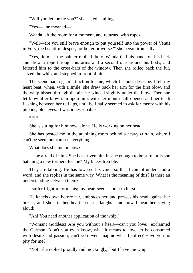"Will you let me tie you?" she asked, smiling.

"Yes—" he moaned—

Wanda left the room for a moment, and returned with ropes.

"Well—are you still brave enough to put yourself into the power of Venus in Furs, the beautiful despot, for better or worse?" she began ironically.

"Yes, tie me," the painter replied dully. Wanda tied his hands on his back and drew a rope through his arms and a second one around his body, and fettered him to the cross-bars of the window. Then she rolled back the fur, seized the whip, and stepped in front of him.

The scene had a grim attraction for me, which I cannot describe. I felt my heart beat, when, with a smile, she drew back her arm for the first blow, and the whip hissed through the air. He winced slightly under the blow. Then she let blow after blow rain upon him, with her mouth half-opened and her teeth flashing between her red lips, until he finally seemed to ask for mercy with his piteous, blue eyes. It was indescribable.

\*\*\*\*

She is sitting for him now, alone. He is working on her head.

She has posted me in the adjoining room behind a heavy curtain, where I can't be seen, but can see everything.

What does she intend now?

Is she afraid of him? She has driven him insane enough to be sure, or is she hatching a new torment for me? My knees tremble.

They are talking. He has lowered his voice so that I cannot understand a word, and she replies in the same way. What is the meaning of this? Is there an understanding between them?

I suffer frightful torments; my heart seems about to burst.

He kneels down before her, embraces her, and presses his head against her breast, and she—in her heartlessness—laughs—and now I hear her saying aloud:

"Ah! You need another application of the whip."

"Woman! Goddess! Are you without a heart—can't you love," exclaimed the German, "don't you even know, what it means to love, to be consumed with desire and passion, can't you even imagine what I suffer? Have you no pity for me?"

"No!" she replied proudly and mockingly, "but I have the whip."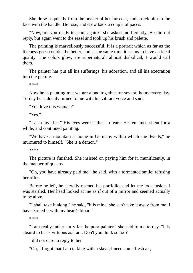She drew it quickly from the pocket of her fur-coat, and struck him in the face with the handle. He rose, and drew back a couple of paces.

"Now, are you ready to paint again?" she asked indifferently. He did not reply, but again went to the easel and took up his brush and palette.

The painting is marvellously successful. It is a portrait which as far as the likeness goes couldn't be better, and at the same time it seems to have an ideal quality. The colors glow, are supernatural; almost diabolical, I would call them.

The painter has put all his sufferings, his adoration, and all his execration into the picture.

\*\*\*\*

Now he is painting me; we are alone together for several hours every day. To-day he suddenly turned to me with his vibrant voice and said:

"You love this woman?"

"Yes."

"I also love her." His eyes were bathed in tears. He remained silent for a while, and continued painting.

"We have a mountain at home in Germany within which she dwells," he murmured to himself. "She is a demon."

\*\*\*\*

The picture is finished. She insisted on paying him for it, munificently, in the manner of queens.

"Oh, you have already paid me," he said, with a tormented smile, refusing her offer.

Before he left, he secretly opened his portfolio, and let me look inside. I was startled. Her head looked at me as if out of a mirror and seemed actually to be alive.

"I shall take it along," he said, "it is mine; she can't take it away from me. I have earned it with my heart's blood."

\*\*\*\*

"I am really rather sorry for the poor painter," she said to me to-day, "it is absurd to be as virtuous as I am. Don't you think so too?"

I did not dare to reply to her.

"Oh, I forgot that I am talking with a slave; I need some fresh air,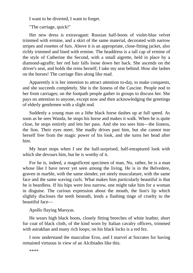I want to be diverted, I want to forget.

"The carriage, quick!"

Her new dress is extravagant: Russian half-boots of violet-blue velvet trimmed with ermine, and a skirt of the same material, decorated with narrow stripes and rosettes of furs. Above it is an appropriate, close-fitting jacket, also richly trimmed and lined with ermine. The headdress is a tall cap of ermine of the style of Catherine the Second, with a small aigrette, held in place by a diamond-agraffe; her red hair falls loose down her back. She ascends on the driver's seat, and holds the reins herself; I take my seat behind. How she lashes on the horses! The carriage flies along like mad.

Apparently it is her intention to attract attention to-day, to make conquests, and she succeeds completely. She is the lioness of the Cascine. People nod to her from carriages; on the footpath people gather in groups to discuss her. She pays no attention to anyone, except now and then acknowledging the greetings of elderly gentlemen with a slight nod.

Suddenly a young man on a lithe black horse dashes up at full speed. As soon as he sees Wanda, he stops his horse and makes it walk. When he is quite close, he stops entirely and lets her pass. And she too sees him—the lioness, the lion. Their eyes meet. She madly drives past him, but she cannot tear herself free from the magic power of his look, and she turns her head after him.

My heart stops when I see the half-surprised, half-enraptured look with which she devours him, but he is worthy of it.

For he is, indeed, a magnificent specimen of man, No, rather, he is a man whose like I have never yet seen among the living. He is in the Belvedere, graven in marble, with the same slender, yet steely musculature, with the same face and the same waving curls. What makes him particularly beautiful is that he is beardless. If his hips were less narrow, one might take him for a woman in disguise. The curious expression about the mouth, the lion's lip which slightly discloses the teeth beneath, lends a flashing tinge of cruelty to the beautiful face—

Apollo flaying Marsyas.

He wears high black boots, closely fitting breeches of white leather, short fur coat of black cloth, of the kind worn by Italian cavalry officers, trimmed with astrakhan and many rich loops; on his black locks is a red fez.

I now understand the masculine Eros, and I marvel at Socrates for having remained virtuous in view of an Alcibiades like this.

\*\*\*\*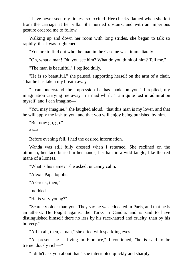I have never seen my lioness so excited. Her cheeks flamed when she left from the carriage at her villa. She hurried upstairs, and with an imperious gesture ordered me to follow.

Walking up and down her room with long strides, she began to talk so rapidly, that I was frightened.

"You are to find out who the man in the Cascine was, immediately—

"Oh, what a man! Did you see him? What do you think of him? Tell me."

"The man is beautiful," I replied dully.

"He is so beautiful," she paused, supporting herself on the arm of a chair, "that he has taken my breath away."

"I can understand the impression he has made on you," I replied, my imagination carrying me away in a mad whirl. "I am quite lost in admiration myself, and I can imagine—"

"You may imagine," she laughed aloud, "that this man is my lover, and that he will apply the lash to you, and that you will enjoy being punished by him.

"But now go, go."

\*\*\*\*

Before evening fell, I had the desired information.

Wanda was still fully dressed when I returned. She reclined on the ottoman, her face buried in her hands, her hair in a wild tangle, like the red mane of a lioness.

"What is his name?" she asked, uncanny calm.

"Alexis Papadopolis."

"A Greek, then,"

I nodded.

"He is very young?"

"Scarcely older than you. They say he was educated in Paris, and that he is an atheist. He fought against the Turks in Candia, and is said to have distinguished himself there no less by his race-hatred and cruelty, than by his bravery."

"All in all, then, a man," she cried with sparkling eyes.

"At present he is living in Florence," I continued, "he is said to be tremendously rich—"

"I didn't ask you about that," she interrupted quickly and sharply.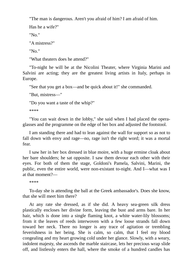"The man is dangerous. Aren't you afraid of him? I am afraid of him.

Has he a wife?"

"No."

"A mistress?"

"No."

"What theaters does he attend?"

"To-night he will be at the Nicolini Theater, where Virginia Marini and Salvini are acting; they are the greatest living artists in Italy, perhaps in Europe.

"See that you get a box—and be quick about it!" she commanded.

"But, mistress—"

"Do you want a taste of the whip?"

\*\*\*\*

"You can wait down in the lobby," she said when I had placed the operaglasses and the programme on the edge of her box and adjusted the footstool.

I am standing there and had to lean against the wall for support so as not to fall down with envy and rage—no, rage isn't the right word; it was a mortal fear.

I saw her in her box dressed in blue moire, with a huge ermine cloak about her bare shoulders; he sat opposite. I saw them devour each other with their eyes. For both of them the stage, Goldoni's Pamela, Salvini, Marini, the public, even the entire world, were non-existant to-night. And I—what was I at that moment?—

\*\*\*\*

To-day she is attending the ball at the Greek ambassador's. Does she know, that she will meet him there?

At any rate she dressed, as if she did. A heavy sea-green silk dress plastically encloses her divine form, leaving the bust and arms bare. In her hair, which is done into a single flaming knot, a white water-lily blossoms; from it the leaves of reeds interwoven with a few loose strands fall down toward her neck. There no longer is any trace of agitation or trembling feverishness in her being. She is calm, so calm, that I feel my blood congealing and my heart growing cold under her glance. Slowly, with a weary, indolent majesty, she ascends the marble staircase, lets her precious wrap slide off, and listlessly enters the hall, where the smoke of a hundred candles has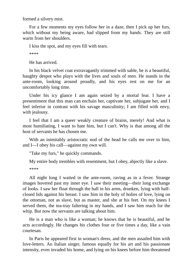formed a silvery mist.

For a few moments my eyes follow her in a daze, then I pick up her furs, which without my being aware, had slipped from my hands. They are still warm from her shoulders.

I kiss the spot, and my eyes fill with tears.

\*\*\*\*

He has arrived.

In his black velvet coat extravagantly trimmed with sable, he is a beautiful, haughty despot who plays with the lives and souls of men. He stands in the ante-room, looking around proudly, and his eyes rest on me for an uncomfortably long time.

Under his icy glance I am again seized by a mortal fear. I have a presentiment that this man can enchain her, captivate her, subjugate her, and I feel inferior in contrast with his savage masculinity; I am filled with envy, with jealousy.

I feel that I am a queer weakly creature of brains, merely! And what is most humiliating, I want to hate him, but I can't. Why is that among all the host of servants he has chosen me.

With an inimitably aristocratic nod of the head he calls me over to him, and I—I obey his call—against my own will.

"Take my furs," he quickly commands.

My entire body trembles with resentment, but I obey, abjectly like a slave. \*\*\*\*

All night long I waited in the ante-room, raving as in a fever. Strange images hovered past my inner eye. I saw their meeting—their long exchange of looks. I saw her float through the hall in his arms, drunken, lying with halfclosed lids against his breast. I saw him in the holy of holies of love, lying on the ottoman, not as slave, but as master, and she at his feet. On my knees I served them, the tea-tray faltering in my hands, and I saw him reach for the whip. But now the servants are talking about him.

He is a man who is like a woman; he knows that he is beautiful, and he acts accordingly. He changes his clothes four or five times a day, like a vain courtesan.

In Paris he appeared first in woman's dress, and the men assailed him with love-letters. An Italian singer, famous equally for his art and his passionate intensity, even invaded his home, and lying on his knees before him threatened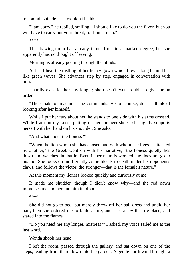to commit suicide if he wouldn't be his.

"I am sorry," he replied, smiling, "I should like to do you the favor, but you will have to carry out your threat, for I am a man."

\*\*\*\*

The drawing-room has already thinned out to a marked degree, but she apparently has no thought of leaving.

Morning is already peering through the blinds.

At last I hear the rustling of her heavy gown which flows along behind her like green waves. She advances step by step, engaged in conversation with him.

I hardly exist for her any longer; she doesn't even trouble to give me an order.

"The cloak for madame," he commands. He, of course, doesn't think of looking after her himself.

While I put her furs about her, he stands to one side with his arms crossed. While I am on my knees putting on her fur over-shoes, she lightly supports herself with her hand on his shoulder. She asks:

"And what about the lioness?"

"When the lion whom she has chosen and with whom she lives is attacked by another," the Greek went on with his narrative, "the lioness quietly lies down and watches the battle. Even if her mate is worsted she does not go to his aid. She looks on indifferently as he bleeds to death under his opponent's claws, and follows the victor, the stronger—that is the female's nature."

At this moment my lioness looked quickly and curiously at me.

It made me shudder, though I didn't know why—and the red dawn immerses me and her and him in blood.

\*\*\*\*

She did not go to bed, but merely threw off her ball-dress and undid her hair; then she ordered me to build a fire, and she sat by the fire-place, and stared into the flames.

"Do you need me any longer, mistress?" I asked, my voice failed me at the last word.

Wanda shook her head.

I left the room, passed through the gallery, and sat down on one of the steps, leading from there down into the garden. A gentle north wind brought a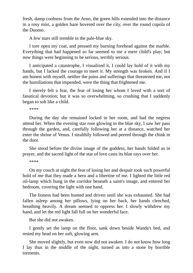fresh, damp coolness from the Arno, the green hills extended into the distance in a rosy mist, a golden haze hovered over the city, over the round cupola of the Duomo.

A few stars still tremble in the pale-blue sky.

I tore open my coat, and pressed my burning forehead against the marble. Everything that had happened so far seemed to me a mere child's play; but now things were beginning to be serious, terribly serious.

I anticipated a catastrophe, I visualized it, I could lay hold of it with my hands, but I lacked the courage to meet it. My strength was broken. And if I am honest with myself, neither the pains and sufferings that threatened me, not the humiliations that impended, were the thing that frightened me.

I merely felt a fear, the fear of losing her whom I loved with a sort of fanatical devotion; but it was so overwhelming, so crushing that I suddenly began to sob like a child.

\*\*\*\*

During the day she remained locked in her room, and had the negress attend her. When the evening star rose glowing in the blue sky, I saw her pass through the garden, and, carefully following her at a distance, watched her enter the shrine of Venus. I stealthily followed and peered through the chink in the door.

She stood before the divine image of the goddess, her hands folded as in prayer, and the sacred light of the star of love casts its blue rays over her.

\*\*\*\*

On my couch at night the fear of losing her and despair took such powerful hold of me that they made a hero and a libertine of me. I lighted the little red oil-lamp which hung in the corridor beneath a saint's image, and entered her bedroom, covering the light with one hand.

The lioness had been hunted and driven until she was exhausted. She had fallen asleep among her pillows, lying on her back, her hands clenched, breathing heavily. A dream seemed to oppress her. I slowly withdrew my hand, and let the red light fall full on her wonderful face.

But she did not awaken.

I gently set the lamp on the floor, sank down beside Wanda's bed, and rested my head on her soft, glowing arm.

She moved slightly, but even now did not awaken. I do not know how long I lay thus in the middle of the night, turned as into a stone by horrible torments.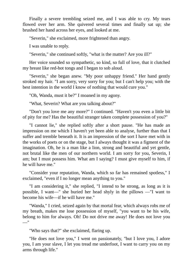Finally a severe trembling seized me, and I was able to cry. My tears flowed over her arm. She quivered several times and finally sat up; she brushed her hand across her eyes, and looked at me.

"Severin," she exclaimed, more frightened than angry.

I was unable to reply.

"Severin," she continued softly, "what is the matter? Are you ill?"

Her voice sounded so sympathetic, so kind, so full of love, that it clutched my breast like red-hot tongs and I began to sob aloud.

"Severin," she began anew. "My poor unhappy friend." Her hand gently stroked my hair. "I am sorry, very sorry for you; but I can't help you; with the best intention in the world I know of nothing that would cure you."

"Oh, Wanda, must it be?" I moaned in my agony.

"What, Severin? What are you talking about?"

"Don't you love me any more?" I continued. "Haven't you even a little bit of pity for me? Has the beautiful stranger taken complete possession of you?"

"I cannot lie," she replied softly after a short pause. "He has made an impression on me which I haven't yet been able to analyse, further than that I suffer and tremble beneath it. It is an impression of the sort I have met with in the works of poets or on the stage, but I always thought it was a figment of the imagination. Oh, he is a man like a lion, strong and beautiful and yet gentle, not brutal like the men of our northern world. I am sorry for you, Severin, I am; but I must possess him. What am I saying? I must give myself to him, if he will have me."

"Consider your reputation, Wanda, which so far has remained spotless," I exclaimed, "even if I no longer mean anything to you."

"I am considering it," she replied, "I intend to be strong, as long as it is possible, I want—" she buried her head shyly in the pillows —"I want to become his wife—if he will have me."

"Wanda," I cried, seized again by that mortal fear, which always robs me of my breath, makes me lose possession of myself, "you want to be his wife, belong to him for always. Oh! Do not drive me away! He does not love you  $\overline{\phantom{0}}$ 

"Who says that?" she exclaimed, flaring up.

"He does not love you," I went on passionately, "but I love you, I adore you, I am your slave, I let you tread me underfoot, I want to carry you on my arms through life."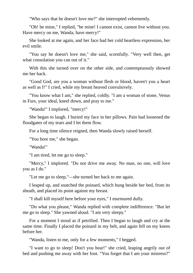"Who says that he doesn't love me?" she interrupted vehemently.

"Oh! be mine," I replied, "be mine! I cannot exist, cannot live without you. Have mercy on me, Wanda, have mercy!"

She looked at me again, and her face had her cold heartless expression, her evil smile.

"You say he doesn't love me," she said, scornfully. "Very well then, get what consolation you can out of it."

With this she turned over on the other side, and contemptuously showed me her back.

"Good God, are you a woman without flesh or blood, haven't you a heart as well as I!" I cried, while my breast heaved convulsively.

"You know what I am," she replied, coldly. "I am a woman of stone, Venus in Furs, your ideal, kneel down, and pray to me."

"Wanda!" I implored, "mercy!"

She began to laugh. I buried my face in her pillows. Pain had loosened the floodgates of my tears and I let them flow.

For a long time silence reigned, then Wanda slowly raised herself.

"You bore me," she began.

"Wanda!"

"I am tired, let me go to sleep."

"Mercy," I implored. "Do not drive me away. No man, no one, will love you as I do."

"Let me go to sleep,"—she turned her back to me again.

I leaped up, and snatched the poinard, which hung beside her bed, from its sheath, and placed its point against my breast.

"I shall kill myself here before your eyes," I murmured dully.

"Do what you please," Wanda replied with complete indifference. "But let me go to sleep." She yawned aloud. "I am very sleepy."

For a moment I stood as if petrified. Then I began to laugh and cry at the same time. Finally I placed the poinard in my belt, and again fell on my knees before her.

"Wanda, listen to me, only for a few moments," I begged.

"I want to go to sleep! Don't you hear!" she cried, leaping angrily out of bed and pushing me away with her foot. "You forget that I am your mistress?"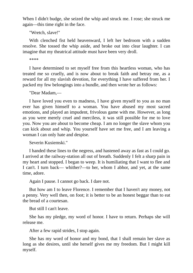When I didn't budge, she seized the whip and struck me. I rose; she struck me again—this time right in the face.

"Wretch, slave!"

With clenched fist held heavenward, I left her bedroom with a sudden resolve. She tossed the whip aside, and broke out into clear laughter. I can imagine that my theatrical attitude must have been very droll.

\*\*\*\*

I have determined to set myself free from this heartless woman, who has treated me so cruelly, and is now about to break faith and betray me, as a reward for all my slavish devotion, for everything I have suffered from her. I packed my few belongings into a bundle, and then wrote her as follows:

"Dear Madam,—

I have loved you even to madness, I have given myself to you as no man ever has given himself to a woman. You have abused my most sacred emotions, and played an impudent, frivolous game with me. However, as long as you were merely cruel and merciless, it was still possible for me to love you. Now you are about to become cheap. I am no longer the slave whom you can kick about and whip. You yourself have set me free, and I am leaving a woman I can only hate and despise.

Severin Kusiemski."

I handed these lines to the negress, and hastened away as fast as I could go. I arrived at the railway-station all out of breath. Suddenly I felt a sharp pain in my heart and stopped. I began to weep. It is humiliating that I want to flee and I can't. I turn back— whither?—to her, whom I abhor, and yet, at the same time, adore.

Again I pause. I cannot go back. I dare not.

But how am I to leave Florence. I remember that I haven't any money, not a penny. Very well then, on foot; it is better to be an honest beggar than to eat the bread of a courtesan.

But still I can't leave.

She has my pledge, my word of honor. I have to return. Perhaps she will release me.

After a few rapid strides, I stop again.

She has my word of honor and my bond, that I shall remain her slave as long as she desires, until she herself gives me my freedom. But I might kill myself.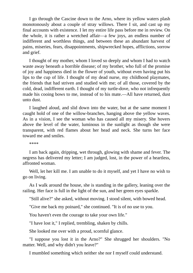I go through the Cascine down to the Arno, where its yellow waters plash monotonously about a couple of stray willows. There I sit, and cast up my final accounts with existence. I let my entire life pass before me in review. On the whole, it is rather a wretched affair—a few joys, an endless number of indifferent and worthless things, and between these an abundant harvest of pains, miseries, fears, disappointments, shipwrecked hopes, afflictions, sorrow and grief.

I thought of my mother, whom I loved so deeply and whom I had to watch waste away beneath a horrible disease; of my brother, who full of the promise of joy and happiness died in the flower of youth, without even having put his lips to the cup of life. I thought of my dead nurse, my childhood playmates, the friends that had striven and studied with me; of all those, covered by the cold, dead, indifferent earth. I thought of my turtle-dove, who not infrequently made his cooing bows to me, instead of to his mate.—All have returned, dust unto dust.

I laughed aloud, and slid down into the water, but at the same moment I caught hold of one of the willow-branches, hanging above the yellow waves. As in a vision, I see the woman who has caused all my misery. She hovers above the level of the water, luminous in the sunlight as though she were transparent, with red flames about her head and neck. She turns her face toward me and smiles.

\*\*\*\*

I am back again, dripping, wet through, glowing with shame and fever. The negress has delivered my letter; I am judged, lost, in the power of a heartless, affronted woman.

Well, let her kill me. I am unable to do it myself, and yet I have no wish to go on living.

As I walk around the house, she is standing in the gallery, leaning over the railing. Her face is full in the light of the sun, and her green eyes sparkle.

"Still alive?" she asked, without moving. I stood silent, with bowed head.

"Give me back my poinard," she continued. "It is of no use to you.

You haven't even the courage to take your own life."

"I have lost it," I replied, trembling, shaken by chills.

She looked me over with a proud, scornful glance.

"I suppose you lost it in the Arno?" She shrugged her shoulders. "No matter. Well, and why didn't you leave?"

I mumbled something which neither she nor I myself could understand.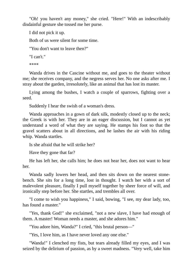"Oh! you haven't any money," she cried. "Here!" With an indescribably disdainful gesture she tossed me her purse.

I did not pick it up.

Both of us were silent for some time.

"You don't want to leave then?"

"I can't."

\*\*\*\*

Wanda drives in the Cascine without me, and goes to the theater without me; she receives company, and the negress serves her. No one asks after me. I stray about the garden, irresolutely, like an animal that has lost its master.

Lying among the bushes, I watch a couple of sparrows, fighting over a seed.

Suddenly I hear the swish of a woman's dress.

Wanda approaches in a gown of dark silk, modestly closed up to the neck; the Greek is with her. They are in an eager discussion, but I cannot as yet understand a word of what they are saying. He stamps his foot so that the gravel scatters about in all directions, and he lashes the air with his riding whip. Wanda startles.

Is she afraid that he will strike her?

Have they gone that far?

He has left her, she calls him; he does not hear her, does not want to hear her.

Wanda sadly lowers her head, and then sits down on the nearest stonebench. She sits for a long time, lost in thought. I watch her with a sort of malevolent pleasure, finally I pull myself together by sheer force of will, and ironically step before her. She startles, and trembles all over.

"I come to wish you happiness," I said, bowing, "I see, my dear lady, too, has found a master."

"Yes, thank God!" she exclaimed, "not a new slave, I have had enough of them. A master! Woman needs a master, and she adores him."

"You adore him, Wanda?" I cried, "this brutal person—"

"Yes, I love him, as I have never loved any one else."

"Wanda!" I clenched my fists, but tears already filled my eyes, and I was seized by the delirium of passion, as by a sweet madness. "Very well, take him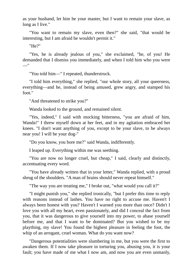as your husband, let him be your master, but I want to remain your slave, as long as I live."

"You want to remain my slave, even then?" she said, "that would be interesting, but I am afraid he wouldn't permit it."

"He?"

"Yes, he is already jealous of you," she exclaimed, "he, of you! He demanded that I dismiss you immediately, and when I told him who you were —"

"You told him—" I repeated, thunderstruck.

"I told him everything," she replied, "our whole story, all your queerness, everything—and he, instead of being amused, grew angry, and stamped his foot."

"And threatened to strike you?"

Wanda looked to the ground, and remained silent.

"Yes, indeed," I said with mocking bitterness, "you are afraid of him, Wanda!" I threw myself down at her feet, and in my agitation embraced her knees. "I don't want anything of you, except to be your slave, to be always near you! I will be your dog-"

"Do you know, you bore me?" said Wanda, indifferently.

I leaped up. Everything within me was seething.

"You are now no longer cruel, but cheap," I said, clearly and distinctly, accentuating every word.

"You have already written that in your letter," Wanda replied, with a proud shrug of the shoulders. "A man of brains should never repeat himself."

"The way you are treating me," I broke out, "what would you call it?"

"I might punish you," she replied ironically, "but I prefer this time to reply with reasons instead of lashes. You have no right to accuse me. Haven't I always been honest with you? Haven't I warned you more than once? Didn't I love you with all my heart, even passionately, and did I conceal the fact from you, that it was dangerous to give yourself into my power, to abase yourself before me, and that I want to be dominated? But you wished to be my plaything, my slave! You found the highest pleasure in feeling the foot, the whip of an arrogant, cruel woman. What do you want now?

"Dangerous potentialities were slumbering in me, but you were the first to awaken them. If I now take pleasure in torturing you, abusing you, it is your fault; you have made of me what I now am, and now you are even unmanly,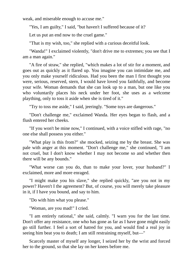weak, and miserable enough to accuse me."

"Yes, I am guilty," I said, "but haven't I suffered because of it?

Let us put an end now to the cruel game."

"That is my wish, too," she replied with a curious deceitful look.

"Wanda!" I exclaimed violently, "don't drive me to extremes; you see that I am a man again."

"A fire of straw," she replied, "which makes a lot of stir for a moment, and goes out as quickly as it flared up. You imagine you can intimidate me, and you only make yourself ridiculous. Had you been the man I first thought you were, serious, reserved, stern, I would have loved you faithfully, and become your wife. Woman demands that she can look up to a man, but one like you who voluntarily places his neck under her foot, she uses as a welcome plaything, only to toss it aside when she is tired of it."

"Try to toss me aside," I said, jeeringly. "Some toys are dangerous."

"Don't challenge me," exclaimed Wanda. Her eyes began to flash, and a flush entered her cheeks.

"If you won't be mine now," I continued, with a voice stifled with rage, "no one else shall possess you either."

"What play is this from?" she mocked, seizing me by the breast. She was pale with anger at this moment. "Don't challenge me," she continued, "I am not cruel, but I don't know whether I may not become so and whether then there will be any bounds."

"What worse can you do, than to make your lover, your husband?" I exclaimed, more and more enraged.

"I might make you his slave," she replied quickly, "are you not in my power? Haven't I the agreement? But, of course, you will merely take pleasure in it, if I have you bound, and say to him.

"Do with him what you please."

"Woman, are you mad!" I cried.

"I am entirely rational," she said, calmly. "I warn you for the last time. Don't offer any resistance, one who has gone as far as I have gone might easily go still further. I feel a sort of hatred for you, and would find a real joy in seeing him beat you to death; I am still restraining myself, but—"

Scarcely master of myself any longer, I seized her by the wrist and forced her to the ground, so that she lay on her knees before me.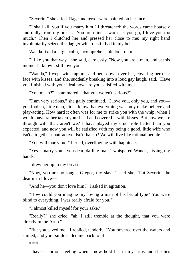"Severin!" she cried. Rage and terror were painted on her face.

"I shall kill you if you marry him," I threatened; the words came hoarsely and dully from my breast. "You are mine, I won't let you go, I love you too much." Then I clutched her and pressed her close to me; my right hand involuntarily seized the dagger which I still had in my belt.

Wanda fixed a large, calm, incomprehensible look on me.

"I like you that way," she said, carelessly. "Now you are a man, and at this moment I know I still love you."

"Wanda," I wept with rapture, and bent down over her, covering her dear face with kisses, and she, suddenly breaking into a loud gay laugh, said, "Have you finished with your ideal now, are you satisfied with me?"

"You mean?" I stammered, "that you weren't serious?"

"I am very serious," she gaily continued. "I love you, only you, and you you foolish, little man, didn't know that everything was only make-believe and play-acting. How hard it often was for me to strike you with the whip, when I would have rather taken your head and covered it with kisses. But now we are through with that, aren't we? I have played my cruel role better than you expected, and now you will be satisfied with my being a good, little wife who isn't altogether unattractive. Isn't that so? We will live like rational people—"

"You will marry me!" I cried, overflowing with happiness.

"Yes—marry you—you dear, darling man," whispered Wanda, kissing my hands.

I drew her up to my breast.

"Now, you are no longer Gregor, my slave," said she, "but Severin, the dear man I love—"

"And he—you don't love him?" I asked in agitation.

"How could you imagine my loving a man of his brutal type? You were blind to everything, I was really afraid for you."

"I almost killed myself for your sake."

"Really?" she cried, "ah, I still tremble at the thought, that you were already in the Arno."

"But you saved me," I replied, tenderly. "You hovered over the waters and smiled, and your smile called me back to life."

\*\*\*\*

I have a curious feeling when I now hold her in my arms and she lies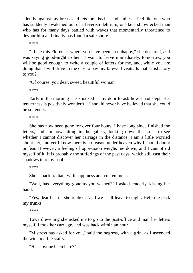silently against my breast and lets me kiss her and smiles. I feel like one who has suddenly awakened out of a feverish delirium, or like a shipwrecked man who has for many days battled with waves that momentarily threatened to devour him and finally has found a safe shore.

\*\*\*\*

"I hate this Florence, where you have been so unhappy," she declared, as I was saying good-night to her. "I want to leave immediately, tomorrow, you will be good enough to write a couple of letters for me, and, while you are doing that, I will drive to the city to pay my farewell visits. Is that satisfactory to you?"

"Of course, you dear, sweet, beautiful woman."

\*\*\*\*

Early in the morning she knocked at my door to ask how I had slept. Her tenderness is positively wonderful. I should never have believed that she could be so tender.

\*\*\*\*

She has now been gone for over four hours. I have long since finished the letters, and am now sitting in the gallery, looking down the street to see whether I cannot discover her carriage in the distance. I am a little worried about her, and yet I know there is no reason under heaven why I should doubt or fear. However, a feeling of oppression weighs me down, and I cannot rid myself of it. It is probably the sufferings of the past days, which still cast their shadows into my soul.

\*\*\*\*

She is back, radiant with happiness and contentment.

"Well, has everything gone as you wished?" I asked tenderly, kissing her hand.

"Yes, dear heart," she replied, "and we shall leave to-night. Help me pack my trunks."

\*\*\*\*

Toward evening she asked me to go to the post-office and mail her letters myself. I took her carriage, and was back within an hour.

"Mistress has asked for you," said the negress, with a grin, as I ascended the wide marble stairs.

"Has anyone been here?"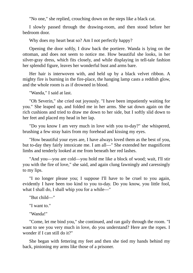"No one," she replied, crouching down on the steps like a black cat.

I slowly passed through the drawing-room, and then stood before her bedroom door.

Why does my heart beat so? Am I not perfectly happy?

Opening the door softly, I draw back the portiere. Wanda is lying on the ottoman, and does not seem to notice me. How beautiful she looks, in her silver-gray dress, which fits closely, and while displaying in tell-tale fashion her splendid figure, leaves her wonderful bust and arms bare.

Her hair is interwoven with, and held up by a black velvet ribbon. A mighty fire is burning in the fire-place, the hanging lamp casts a reddish glow, and the whole room is as if drowned in blood.

"Wanda," I said at last.

"Oh Severin," she cried out joyously. "I have been impatiently waiting for you." She leaped up, and folded me in her arms. She sat down again on the rich cushions and tried to draw me down to her side, but I softly slid down to her feet and placed my head in her lap.

"Do you know I am very much in love with you to-day?" she whispered, brushing a few stray hairs from my forehead and kissing my eyes.

"How beautiful your eyes are, I have always loved them as the best of you, but to-day they fairly intoxicate me. I am all—" She extended her magnificent limbs and tenderly looked at me from beneath her red lashes.

"And you—you are cold—you hold me like a block of wood; wait, I'll stir you with the fire of love," she said, and again clung fawningly and caressingly to my lips.

"I no longer please you; I suppose I'll have to be cruel to you again, evidently I have been too kind to you to-day. Do you know, you little fool, what I shall do, I shall whip you for a while—"

"But child—"

"I want to."

"Wanda!"

"Come, let me bind you," she continued, and ran gaily through the room. "I want to see you very much in love, do you understand? Here are the ropes. I wonder if I can still do it?"

She began with fettering my feet and then she tied my hands behind my back, pinioning my arms like those of a prisoner.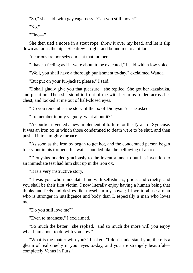"So," she said, with gay eagerness. "Can you still move?"

"No."

"Fine—"

She then tied a noose in a stout rope, threw it over my head, and let it slip down as far as the hips. She drew it tight, and bound me to a pillar.

A curious tremor seized me at that moment.

"I have a feeling as if I were about to be executed," I said with a low voice.

"Well, you shall have a thorough punishment to-day," exclaimed Wanda.

"But put on your fur-jacket, please," I said.

"I shall gladly give you that pleasure," she replied. She got her kazabaika, and put it on. Then she stood in front of me with her arms folded across her chest, and looked at me out of half-closed eyes.

"Do you remember the story of the ox of Dionysius?" she asked.

"I remember it only vaguely, what about it?"

"A courtier invented a new implement of torture for the Tyrant of Syracuse. It was an iron ox in which those condemned to death were to be shut, and then pushed into a mighty furnace.

"As soon as the iron ox began to get hot, and the condemned person began to cry out in his torment, his wails sounded like the bellowing of an ox.

"Dionysius nodded graciously to the inventor, and to put his invention to an immediate test had him shut up in the iron ox.

"It is a very instructive story.

"It was you who innoculated me with selfishness, pride, and cruelty, and you shall be their first victim. I now literally enjoy having a human being that thinks and feels and desires like myself in my power; I love to abuse a man who is stronger in intelligence and body than I, especially a man who loves me.

"Do you still love me?"

"Even to madness," I exclaimed.

"So much the better," she replied, "and so much the more will you enjoy what I am about to do with you now."

"What is the matter with you?" I asked. "I don't understand you, there is a gleam of real cruelty in your eyes to-day, and you are strangely beautiful completely Venus in Furs."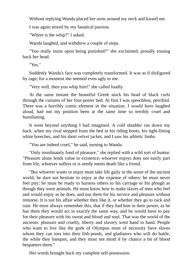Without replying Wanda placed her arms around my neck and kissed me.

I was again seized by my fanatical passion.

"Where is the whip?" I asked.

Wanda laughed, and withdrew a couple of steps.

"You really insist upon being punished?" she exclaimed, proudly tossing back her head.

"Yes."

Suddenly Wanda's face was completely transformed. It was as if disfigured by rage; for a moment she seemed even ugly to me.

"Very well, then you whip him!" she called loudly.

At the same instant the beautiful Greek stuck his head of black curls through the curtains of her four-poster bed. At first I was speechless, petrified. There was a horribly comic element in the situation. I would have laughed aloud, had not my position been at the same time so terribly cruel and humiliating.

It went beyond anything I had imagined. A cold shudder ran down my back, when my rival stepped from the bed in his riding boots, his tight-fitting white breeches, and his short velvet jacket, and I saw his athletic limbs.

"You are indeed cruel," he said, turning to Wanda.

"Only inordinately fond of pleasure," she replied with a wild sort of humor. "Pleasure alone lends value to existence; whoever enjoys does not easily part from life, whoever suffers or is needy meets death like a friend.

"But whoever wants to enjoy must take life gaily in the sense of the ancient world; he dare not hesitate to enjoy at the expense of others; he must never feel pity; he must be ready to harness others to his carriage or his plough as though they were animals. He must know how to make slaves of men who feel and would enjoy as he does, and use them for his service and pleasure without remorse. It is not his affair whether they like it, or whether they go to rack and ruin. He must always remember this, that if they had him in their power, as he has them they would act in exactly the same way, and he would have to pay for their pleasure with his sweat and blood and soul. That was the world of the ancients: pleasure and cruelty, liberty and slavery went hand in hand. People who want to live like the gods of Olympus must of necessity have slaves whom they can toss into their fish-ponds, and gladiators who will do battle, the while they banquet, and they must not mind if by chance a bit of blood bespatters them."

Her words brought back my complete self-possession.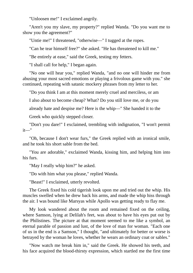"Unloosen me!" I exclaimed angrily.

"Aren't you my slave, my property?" replied Wanda. "Do you want me to show you the agreement?"

"Untie me!" I threatened, "otherwise—" I tugged at the ropes.

"Can he tear himself free?" she asked. "He has threatened to kill me."

"Be entirely at ease," said the Greek, testing my fetters.

"I shall call for help," I began again.

"No one will hear you," replied Wanda, "and no one will hinder me from abusing your most sacred emotions or playing a frivolous game with you." she continued, repeating with satanic mockery phrases from my letter to her.

"Do you think I am at this moment merely cruel and merciless, or am

I also about to become cheap? What? Do you still love me, or do you

already hate and despise me? Here is the whip—" She handed it to the

Greek who quickly stepped closer.

"Don't you dare!" I exclaimed, trembling with indignation, "I won't permit it—"

"Oh, because I don't wear furs," the Greek replied with an ironical smile, and he took his short sable from the bed.

"You are adorable," exclaimed Wanda, kissing him, and helping him into his furs.

"May I really whip him?" he asked.

"Do with him what you please," replied Wanda.

"Beast!" I exclaimed, utterly revolted.

The Greek fixed his cold tigerish look upon me and tried out the whip. His muscles swelled when he drew back his arms, and made the whip hiss through the air. I was bound like Marsyas while Apollo was getting ready to flay me.

My look wandered about the room and remained fixed on the ceiling, where Samson, lying at Delilah's feet, was about to have his eyes put out by the Philistines. The picture at that moment seemed to me like a symbol, an eternal parable of passion and lust, of the love of man for woman. "Each one of us in the end is a Samson," I thought, "and ultimately for better or worse is betrayed by the woman he loves, whether he wears an ordinary coat or sables."

"Now watch me break him in," said the Greek. He showed his teeth, and his face acquired the blood-thirsty expression, which startled me the first time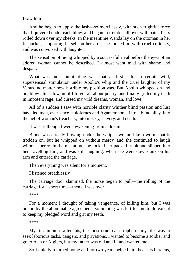I saw him.

And he began to apply the lash—so mercilessly, with such frightful force that I quivered under each blow, and began to tremble all over with pain. Tears rolled down over my cheeks. In the meantime Wanda lay on the ottoman in her fur-jacket, supporting herself on her arm; she looked on with cruel curiosity, and was convulsed with laughter.

The sensation of being whipped by a successful rival before the eyes of an adored woman cannot be described. I almost went mad with shame and despair.

What was most humiliating was that at first I felt a certain wild, supersensual stimulation under Apollo's whip and the cruel laughter of my Venus, no matter how horrible my position was. But Apollo whipped on and on, blow after blow, until I forgot all about poetry, and finally gritted my teeth in impotent rage, and cursed my wild dreams, woman, and love.

All of a sudden I saw with horrible clarity whither blind passion and lust have led man, ever since Holofernes and Agamemnon—into a blind alley, into the net of woman's treachery, into misery, slavery, and death.

It was as though I were awakening from a dream.

Blood was already flowing under the whip. I wound like a worm that is trodden on, but he whipped on without mercy, and she continued to laugh without mercy. In the meantime she locked her packed trunk and slipped into her travelling furs, and was still laughing, when she went downstairs on his arm and entered the carriage.

Then everything was silent for a moment.

I listened breathlessly.

The carriage door slammed, the horse began to pull—the rolling of the carriage for a short time—then all was over.

\*\*\*\*

For a moment I thought of taking vengeance, of killing him, but I was bound by the abominable agreement. So nothing was left for me to do except to keep my pledged word and grit my teeth.

\*\*\*\*

My first impulse after this, the most cruel catastrophe of my life, was to seek laborious tasks, dangers, and privations. I wanted to become a soldier and go to Asia or Algiers, but my father was old and ill and wanted me.

So I quietly returned home and for two years helped him bear his burdens,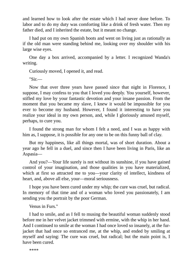and learned how to look after the estate which I had never done before. To labor and to do my duty was comforting like a drink of fresh water. Then my father died, and I inherited the estate, but it meant no change.

I had put on my own Spanish boots and went on living just as rationally as if the old man were standing behind me, looking over my shoulder with his large wise eyes.

One day a box arrived, accompanied by a letter. I recognized Wanda's writing.

Curiously moved, I opened it, and read.

"Sir.—

Now that over three years have passed since that night in Florence, I suppose, I may confess to you that I loved you deeply. You yourself, however, stifled my love by your fantastic devotion and your insane passion. From the moment that you became my slave, I knew it would be impossible for you ever to become my husband. However, I found it interesting to have you realize your ideal in my own person, and, while I gloriously amused myself, perhaps, to cure you.

I found the strong man for whom I felt a need, and I was as happy with him as, I suppose, it is possible for any one to be on this funny ball of clay.

But my happiness, like all things mortal, was of short duration. About a year ago he fell in a duel, and since then I have been living in Paris, like an Aspasia—

And you?—Your life surely is not without its sunshine, if you have gained control of your imagination, and those qualities in you have materialized, which at first so attracted me to you—your clarity of intellect, kindness of heart, and, above all else, your—moral seriousness.

I hope you have been cured under my whip; the cure was cruel, but radical. In memory of that time and of a woman who loved you passionately, I am sending you the portrait by the poor German.

Venus in Furs."

I had to smile, and as I fell to musing the beautiful woman suddenly stood before me in her velvet jacket trimmed with ermine, with the whip in her hand. And I continued to smile at the woman I had once loved so insanely, at the furjacket that had once so entranced me, at the whip, and ended by smiling at myself and saying: The cure was cruel, but radical; but the main point is, I have been cured.

\*\*\*\*